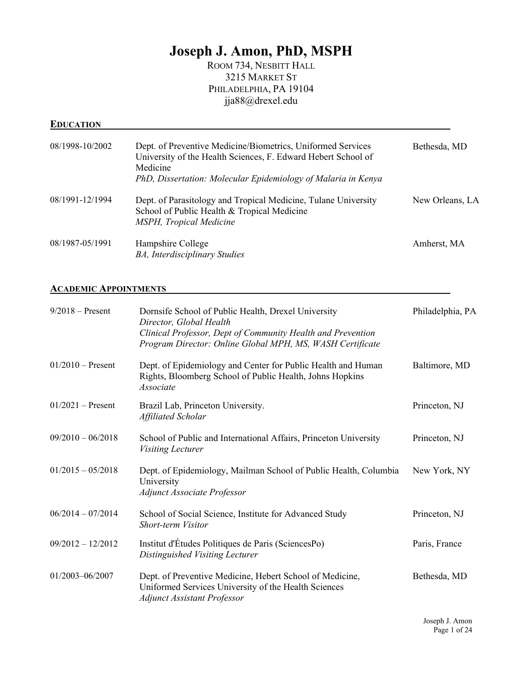# **Joseph J. Amon, PhD, MSPH**

ROOM 734, NESBITT HALL 3215 MARKET ST PHILADELPHIA, PA 19104 jja88@drexel.edu

## **EDUCATION**

| 08/1998-10/2002 | Dept. of Preventive Medicine/Biometrics, Uniformed Services<br>University of the Health Sciences, F. Edward Hebert School of<br>Medicine<br>PhD, Dissertation: Molecular Epidemiology of Malaria in Kenya | Bethesda, MD    |
|-----------------|-----------------------------------------------------------------------------------------------------------------------------------------------------------------------------------------------------------|-----------------|
| 08/1991-12/1994 | Dept. of Parasitology and Tropical Medicine, Tulane University<br>School of Public Health & Tropical Medicine<br>MSPH, Tropical Medicine                                                                  | New Orleans, LA |
| 08/1987-05/1991 | Hampshire College<br><b>BA</b> , Interdisciplinary Studies                                                                                                                                                | Amherst, MA     |

#### **ACADEMIC APPOINTMENTS**

| $9/2018$ – Present  | Dornsife School of Public Health, Drexel University<br>Director, Global Health<br>Clinical Professor, Dept of Community Health and Prevention<br>Program Director: Online Global MPH, MS, WASH Certificate | Philadelphia, PA |
|---------------------|------------------------------------------------------------------------------------------------------------------------------------------------------------------------------------------------------------|------------------|
| $01/2010$ – Present | Dept. of Epidemiology and Center for Public Health and Human<br>Rights, Bloomberg School of Public Health, Johns Hopkins<br>Associate                                                                      | Baltimore, MD    |
| $01/2021$ – Present | Brazil Lab, Princeton University.<br>Affiliated Scholar                                                                                                                                                    | Princeton, NJ    |
| $09/2010 - 06/2018$ | School of Public and International Affairs, Princeton University<br><i>Visiting Lecturer</i>                                                                                                               | Princeton, NJ    |
| $01/2015 - 05/2018$ | Dept. of Epidemiology, Mailman School of Public Health, Columbia<br>University<br><b>Adjunct Associate Professor</b>                                                                                       | New York, NY     |
| $06/2014 - 07/2014$ | School of Social Science, Institute for Advanced Study<br><b>Short-term Visitor</b>                                                                                                                        | Princeton, NJ    |
| $09/2012 - 12/2012$ | Institut d'Études Politiques de Paris (SciencesPo)<br>Distinguished Visiting Lecturer                                                                                                                      | Paris, France    |
| 01/2003-06/2007     | Dept. of Preventive Medicine, Hebert School of Medicine,<br>Uniformed Services University of the Health Sciences<br><b>Adjunct Assistant Professor</b>                                                     | Bethesda, MD     |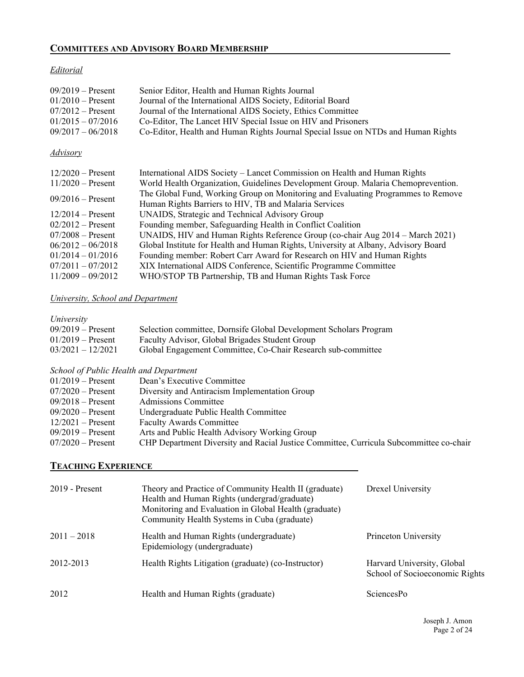# **COMMITTEES AND ADVISORY BOARD MEMBERSHIP**

#### *Editorial*

| $09/2019 -$ Present<br>$01/2010$ – Present<br>$07/2012$ – Present<br>$01/2015 - 07/2016$<br>$09/2017 - 06/2018$ | Senior Editor, Health and Human Rights Journal<br>Journal of the International AIDS Society, Editorial Board<br>Journal of the International AIDS Society, Ethics Committee<br>Co-Editor, The Lancet HIV Special Issue on HIV and Prisoners<br>Co-Editor, Health and Human Rights Journal Special Issue on NTDs and Human Rights |
|-----------------------------------------------------------------------------------------------------------------|----------------------------------------------------------------------------------------------------------------------------------------------------------------------------------------------------------------------------------------------------------------------------------------------------------------------------------|
| <b>Advisory</b>                                                                                                 |                                                                                                                                                                                                                                                                                                                                  |
| $12/2020$ – Present                                                                                             | International AIDS Society – Lancet Commission on Health and Human Rights                                                                                                                                                                                                                                                        |
| $11/2020$ – Present                                                                                             | World Health Organization, Guidelines Development Group. Malaria Chemoprevention.                                                                                                                                                                                                                                                |
| $09/2016$ – Present                                                                                             | The Global Fund, Working Group on Monitoring and Evaluating Programmes to Remove<br>Human Rights Barriers to HIV, TB and Malaria Services                                                                                                                                                                                        |
| $12/2014$ – Present                                                                                             | UNAIDS, Strategic and Technical Advisory Group                                                                                                                                                                                                                                                                                   |
| $02/2012$ – Present                                                                                             | Founding member, Safeguarding Health in Conflict Coalition                                                                                                                                                                                                                                                                       |
| $07/2008 -$ Present                                                                                             | UNAIDS, HIV and Human Rights Reference Group (co-chair Aug 2014 – March 2021)                                                                                                                                                                                                                                                    |
| $06/2012 - 06/2018$                                                                                             | Global Institute for Health and Human Rights, University at Albany, Advisory Board                                                                                                                                                                                                                                               |
| $01/2014 - 01/2016$                                                                                             | Founding member: Robert Carr Award for Research on HIV and Human Rights                                                                                                                                                                                                                                                          |
| $07/2011 - 07/2012$                                                                                             | XIX International AIDS Conference, Scientific Programme Committee                                                                                                                                                                                                                                                                |
| $11/2009 - 09/2012$                                                                                             | WHO/STOP TB Partnership, TB and Human Rights Task Force                                                                                                                                                                                                                                                                          |

# *University, School and Department*

| University |  |
|------------|--|
|            |  |

| $09/2019$ – Present | Selection committee, Dornsife Global Development Scholars Program |
|---------------------|-------------------------------------------------------------------|
| $01/2019$ – Present | Faculty Advisor, Global Brigades Student Group                    |
| $03/2021 - 12/2021$ | Global Engagement Committee, Co-Chair Research sub-committee      |

## *School of Public Health and Department*

| D                   |                                                                                        |
|---------------------|----------------------------------------------------------------------------------------|
| $01/2019$ – Present | Dean's Executive Committee                                                             |
| $07/2020$ – Present | Diversity and Antiracism Implementation Group                                          |
| $09/2018$ – Present | Admissions Committee                                                                   |
| $09/2020$ – Present | Undergraduate Public Health Committee                                                  |
| $12/2021$ – Present | <b>Faculty Awards Committee</b>                                                        |
| $09/2019$ – Present | Arts and Public Health Advisory Working Group                                          |
| $07/2020$ – Present | CHP Department Diversity and Racial Justice Committee, Curricula Subcommittee co-chair |
|                     |                                                                                        |

#### **TEACHING EXPERIENCE**

| $2019$ - Present | Theory and Practice of Community Health II (graduate)<br>Health and Human Rights (undergrad/graduate)<br>Monitoring and Evaluation in Global Health (graduate)<br>Community Health Systems in Cuba (graduate) | Drexel University                                            |
|------------------|---------------------------------------------------------------------------------------------------------------------------------------------------------------------------------------------------------------|--------------------------------------------------------------|
| $2011 - 2018$    | Health and Human Rights (undergraduate)<br>Epidemiology (undergraduate)                                                                                                                                       | Princeton University                                         |
| 2012-2013        | Health Rights Litigation (graduate) (co-Instructor)                                                                                                                                                           | Harvard University, Global<br>School of Socioeconomic Rights |
| 2012             | Health and Human Rights (graduate)                                                                                                                                                                            | <b>SciencesPo</b>                                            |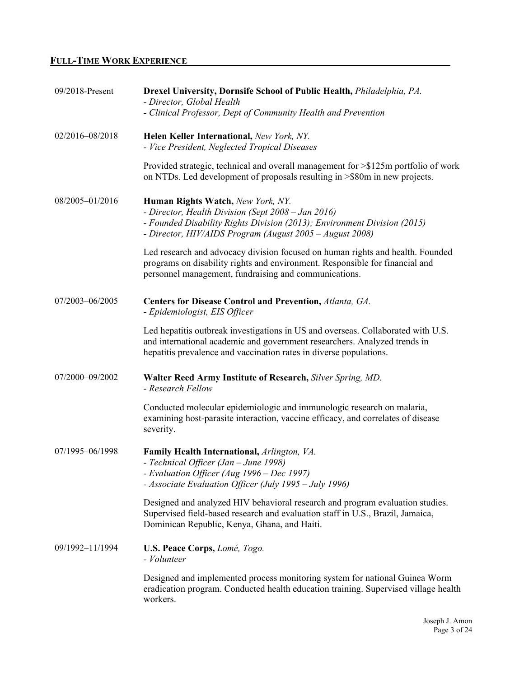# **FULL-TIME WORK EXPERIENCE**

| 09/2018-Present | Drexel University, Dornsife School of Public Health, <i>Philadelphia, PA.</i><br>- Director, Global Health<br>- Clinical Professor, Dept of Community Health and Prevention                                                         |
|-----------------|-------------------------------------------------------------------------------------------------------------------------------------------------------------------------------------------------------------------------------------|
| 02/2016-08/2018 | Helen Keller International, New York, NY.<br>- Vice President, Neglected Tropical Diseases                                                                                                                                          |
|                 | Provided strategic, technical and overall management for >\$125m portfolio of work<br>on NTDs. Led development of proposals resulting in >\$80m in new projects.                                                                    |
| 08/2005-01/2016 | Human Rights Watch, New York, NY.<br>- Director, Health Division (Sept 2008 - Jan 2016)<br>- Founded Disability Rights Division (2013); Environment Division (2015)<br>- Director, HIV/AIDS Program (August 2005 - August 2008)     |
|                 | Led research and advocacy division focused on human rights and health. Founded<br>programs on disability rights and environment. Responsible for financial and<br>personnel management, fundraising and communications.             |
| 07/2003-06/2005 | Centers for Disease Control and Prevention, Atlanta, GA.<br>- Epidemiologist, EIS Officer                                                                                                                                           |
|                 | Led hepatitis outbreak investigations in US and overseas. Collaborated with U.S.<br>and international academic and government researchers. Analyzed trends in<br>hepatitis prevalence and vaccination rates in diverse populations. |
| 07/2000-09/2002 | Walter Reed Army Institute of Research, Silver Spring, MD.<br>- Research Fellow                                                                                                                                                     |
|                 | Conducted molecular epidemiologic and immunologic research on malaria,<br>examining host-parasite interaction, vaccine efficacy, and correlates of disease<br>severity.                                                             |
| 07/1995-06/1998 | Family Health International, Arlington, VA.<br>- Technical Officer (Jan – June 1998)<br>- Evaluation Officer (Aug 1996 – Dec 1997)<br>- Associate Evaluation Officer (July 1995 – July 1996)                                        |
|                 | Designed and analyzed HIV behavioral research and program evaluation studies.<br>Supervised field-based research and evaluation staff in U.S., Brazil, Jamaica,<br>Dominican Republic, Kenya, Ghana, and Haiti.                     |
| 09/1992-11/1994 | U.S. Peace Corps, Lomé, Togo.<br>- Volunteer                                                                                                                                                                                        |
|                 | Designed and implemented process monitoring system for national Guinea Worm<br>eradication program. Conducted health education training. Supervised village health<br>workers.                                                      |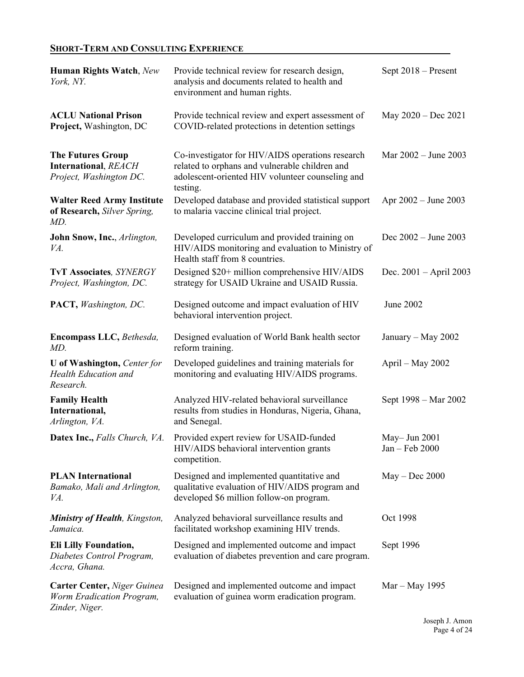# **SHORT-TERM AND CONSULTING EXPERIENCE**

| Human Rights Watch, New<br>York, NY.                                               | Provide technical review for research design,<br>analysis and documents related to health and<br>environment and human rights.                                     | Sept 2018 - Present                |
|------------------------------------------------------------------------------------|--------------------------------------------------------------------------------------------------------------------------------------------------------------------|------------------------------------|
| <b>ACLU National Prison</b><br>Project, Washington, DC                             | Provide technical review and expert assessment of<br>COVID-related protections in detention settings                                                               | May 2020 - Dec 2021                |
| <b>The Futures Group</b><br><b>International, REACH</b><br>Project, Washington DC. | Co-investigator for HIV/AIDS operations research<br>related to orphans and vulnerable children and<br>adolescent-oriented HIV volunteer counseling and<br>testing. | Mar $2002 -$ June 2003             |
| <b>Walter Reed Army Institute</b><br>of Research, Silver Spring,<br>MD.            | Developed database and provided statistical support<br>to malaria vaccine clinical trial project.                                                                  | Apr 2002 – June 2003               |
| John Snow, Inc., Arlington,<br>VA.                                                 | Developed curriculum and provided training on<br>HIV/AIDS monitoring and evaluation to Ministry of<br>Health staff from 8 countries.                               | Dec $2002 - June 2003$             |
| <b>TvT Associates, SYNERGY</b><br>Project, Washington, DC.                         | Designed \$20+ million comprehensive HIV/AIDS<br>strategy for USAID Ukraine and USAID Russia.                                                                      | Dec. $2001 - April 2003$           |
| PACT, Washington, DC.                                                              | Designed outcome and impact evaluation of HIV<br>behavioral intervention project.                                                                                  | June 2002                          |
| Encompass LLC, Bethesda,<br>MD.                                                    | Designed evaluation of World Bank health sector<br>reform training.                                                                                                | January – May 2002                 |
| <b>U</b> of Washington, Center for<br><b>Health Education and</b><br>Research.     | Developed guidelines and training materials for<br>monitoring and evaluating HIV/AIDS programs.                                                                    | April – May $2002$                 |
| <b>Family Health</b><br>International,<br>Arlington, VA.                           | Analyzed HIV-related behavioral surveillance<br>results from studies in Honduras, Nigeria, Ghana,<br>and Senegal.                                                  | Sept 1998 – Mar 2002               |
| Datex Inc., Falls Church, VA.                                                      | Provided expert review for USAID-funded<br>HIV/AIDS behavioral intervention grants<br>competition.                                                                 | May - Jun $2001$<br>Jan - Feb 2000 |
| <b>PLAN International</b><br>Bamako, Mali and Arlington,<br>VA.                    | Designed and implemented quantitative and<br>qualitative evaluation of HIV/AIDS program and<br>developed \$6 million follow-on program.                            | $May - Dec 2000$                   |
| <b>Ministry of Health, Kingston,</b><br>Jamaica.                                   | Analyzed behavioral surveillance results and<br>facilitated workshop examining HIV trends.                                                                         | Oct 1998                           |
| <b>Eli Lilly Foundation,</b><br>Diabetes Control Program,<br>Accra, Ghana.         | Designed and implemented outcome and impact<br>evaluation of diabetes prevention and care program.                                                                 | Sept 1996                          |
| Carter Center, Niger Guinea<br>Worm Eradication Program,<br>Zinder, Niger.         | Designed and implemented outcome and impact<br>evaluation of guinea worm eradication program.                                                                      | Mar – May 1995                     |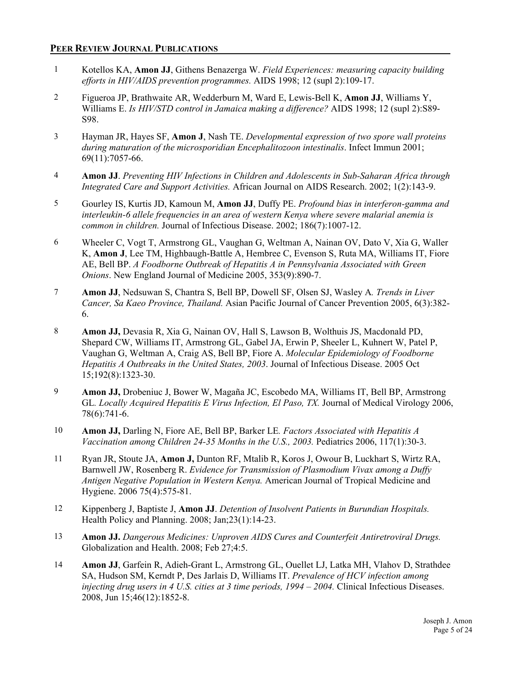#### **PEER REVIEW JOURNAL PUBLICATIONS**

- 1 Kotellos KA, **Amon JJ**, Githens Benazerga W. *Field Experiences: measuring capacity building efforts in HIV/AIDS prevention programmes.* AIDS 1998; 12 (supl 2):109-17.
- 2 Figueroa JP, Brathwaite AR, Wedderburn M, Ward E, Lewis-Bell K, **Amon JJ**, Williams Y, Williams E. *Is HIV/STD control in Jamaica making a difference?* AIDS 1998; 12 (supl 2):S89- S98.
- 3 Hayman JR, Hayes SF, **Amon J**, Nash TE. *Developmental expression of two spore wall proteins during maturation of the microsporidian Encephalitozoon intestinalis*. Infect Immun 2001; 69(11):7057-66.
- 4 **Amon JJ**. *Preventing HIV Infections in Children and Adolescents in Sub-Saharan Africa through Integrated Care and Support Activities.* African Journal on AIDS Research. 2002; 1(2):143-9.
- 5 Gourley IS, Kurtis JD, Kamoun M, **Amon JJ**, Duffy PE. *Profound bias in interferon-gamma and interleukin-6 allele frequencies in an area of western Kenya where severe malarial anemia is common in children.* Journal of Infectious Disease. 2002; 186(7):1007-12.
- 6 Wheeler C, Vogt T, Armstrong GL, Vaughan G, Weltman A, Nainan OV, Dato V, Xia G, Waller K, **Amon J**, Lee TM, Highbaugh-Battle A, Hembree C, Evenson S, Ruta MA, Williams IT, Fiore AE, Bell BP. *A Foodborne Outbreak of Hepatitis A in Pennsylvania Associated with Green Onions*. New England Journal of Medicine 2005, 353(9):890-7.
- 7 **Amon JJ**, Nedsuwan S, Chantra S, Bell BP, Dowell SF, Olsen SJ, Wasley A*. Trends in Liver Cancer, Sa Kaeo Province, Thailand.* Asian Pacific Journal of Cancer Prevention 2005, 6(3):382- 6.
- 8 **Amon JJ,** Devasia R, Xia G, Nainan OV, Hall S, Lawson B, Wolthuis JS, Macdonald PD, Shepard CW, Williams IT, Armstrong GL, Gabel JA, Erwin P, Sheeler L, Kuhnert W, Patel P, Vaughan G, Weltman A, Craig AS, Bell BP, Fiore A. *Molecular Epidemiology of Foodborne Hepatitis A Outbreaks in the United States, 2003*. Journal of Infectious Disease. 2005 Oct 15;192(8):1323-30.
- 9 **Amon JJ,** Drobeniuc J, Bower W, Magaña JC, Escobedo MA, Williams IT, Bell BP, Armstrong GL*. Locally Acquired Hepatitis E Virus Infection, El Paso, TX.* Journal of Medical Virology 2006, 78(6):741-6.
- 10 **Amon JJ,** Darling N, Fiore AE, Bell BP, Barker LE*. Factors Associated with Hepatitis A Vaccination among Children 24-35 Months in the U.S., 2003.* Pediatrics 2006, 117(1):30-3.
- 11 Ryan JR, Stoute JA, **Amon J,** Dunton RF, Mtalib R, Koros J, Owour B, Luckhart S, Wirtz RA, Barnwell JW, Rosenberg R. *Evidence for Transmission of Plasmodium Vivax among a Duffy Antigen Negative Population in Western Kenya.* American Journal of Tropical Medicine and Hygiene. 2006 75(4):575-81.
- 12 Kippenberg J, Baptiste J, **Amon JJ**. *Detention of Insolvent Patients in Burundian Hospitals.* Health Policy and Planning. 2008; Jan;23(1):14-23.
- 13 **Amon JJ.** *Dangerous Medicines: Unproven AIDS Cures and Counterfeit Antiretroviral Drugs.*  Globalization and Health. 2008; Feb 27;4:5.
- 14 **Amon JJ**, Garfein R, Adieh-Grant L, Armstrong GL, Ouellet LJ, Latka MH, Vlahov D, Strathdee SA, Hudson SM, Kerndt P, Des Jarlais D, Williams IT. *Prevalence of HCV infection among injecting drug users in 4 U.S. cities at 3 time periods, 1994 – 2004.* Clinical Infectious Diseases. 2008, Jun 15;46(12):1852-8.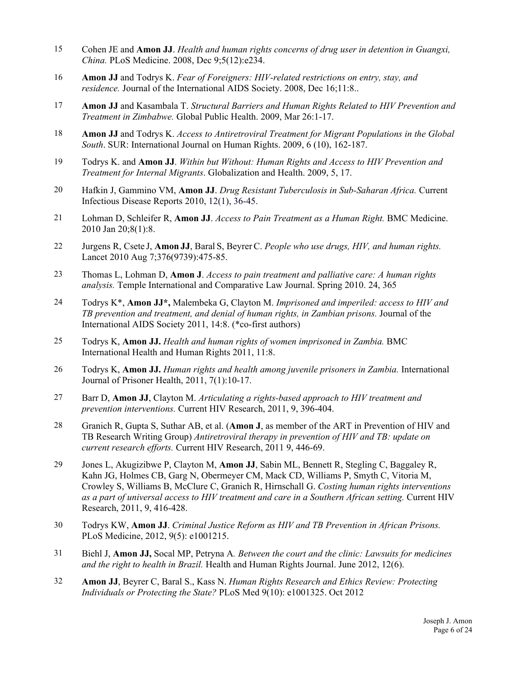- 15 Cohen JE and **Amon JJ**. *Health and human rights concerns of drug user in detention in Guangxi, China.* PLoS Medicine. 2008, Dec 9;5(12):e234.
- 16 **Amon JJ** and Todrys K. *Fear of Foreigners: HIV-related restrictions on entry, stay, and residence.* Journal of the International AIDS Society. 2008, Dec 16;11:8..
- 17 **Amon JJ** and Kasambala T. *Structural Barriers and Human Rights Related to HIV Prevention and Treatment in Zimbabwe.* Global Public Health. 2009, Mar 26:1-17.
- 18 **Amon JJ** and Todrys K. *Access to Antiretroviral Treatment for Migrant Populations in the Global South*. SUR: International Journal on Human Rights. 2009, 6 (10), 162-187.
- 19 Todrys K. and **Amon JJ**. *Within but Without: Human Rights and Access to HIV Prevention and Treatment for Internal Migrants*. Globalization and Health. 2009, 5, 17.
- 20 Hafkin J, Gammino VM, **Amon JJ**. *Drug Resistant Tuberculosis in Sub-Saharan Africa.* Current Infectious Disease Reports 2010, 12(1), 36-45.
- 21 Lohman D, Schleifer R, **Amon JJ**. *Access to Pain Treatment as a Human Right.* BMC Medicine. 2010 Jan 20;8(1):8.
- 22 Jurgens R, Csete J, **Amon JJ**, Baral S, BeyrerC. *People who use drugs, HIV, and human rights.* Lancet 2010 Aug 7;376(9739):475-85.
- 23 Thomas L, Lohman D, **Amon J**. *Access to pain treatment and palliative care: A human rights analysis.* Temple International and Comparative Law Journal. Spring 2010. 24, 365
- 24 Todrys K\*, **Amon JJ\*,** Malembeka G, Clayton M. *Imprisoned and imperiled: access to HIV and TB prevention and treatment, and denial of human rights, in Zambian prisons.* Journal of the International AIDS Society 2011, 14:8. (\*co-first authors)
- 25 Todrys K, **Amon JJ.** *Health and human rights of women imprisoned in Zambia.* BMC International Health and Human Rights 2011, 11:8.
- 26 Todrys K, **Amon JJ.** *Human rights and health among juvenile prisoners in Zambia.* International Journal of Prisoner Health, 2011, 7(1):10-17.
- 27 Barr D, **Amon JJ**, Clayton M. *Articulating a rights-based approach to HIV treatment and prevention interventions.* Current HIV Research, 2011, 9, 396-404.
- 28 Granich R, Gupta S, Suthar AB, et al. (**Amon J**, as member of the ART in Prevention of HIV and TB Research Writing Group) *Antiretroviral therapy in prevention of HIV and TB: update on current research efforts.* Current HIV Research, 2011 9, 446-69.
- 29 Jones L, Akugizibwe P, Clayton M, **Amon JJ**, Sabin ML, Bennett R, Stegling C, Baggaley R, Kahn JG, Holmes CB, Garg N, Obermeyer CM, Mack CD, Williams P, Smyth C, Vitoria M, Crowley S, Williams B, McClure C, Granich R, Hirnschall G. *Costing human rights interventions as a part of universal access to HIV treatment and care in a Southern African setting.* Current HIV Research, 2011, 9, 416-428.
- 30 Todrys KW, **Amon JJ**. *Criminal Justice Reform as HIV and TB Prevention in African Prisons.* PLoS Medicine, 2012, 9(5): e1001215.
- 31 Biehl J, **Amon JJ,** Socal MP, Petryna A*. Between the court and the clinic: Lawsuits for medicines and the right to health in Brazil.* Health and Human Rights Journal. June 2012, 12(6).
- 32 **Amon JJ**, Beyrer C, Baral S., Kass N. *Human Rights Research and Ethics Review: Protecting Individuals or Protecting the State?* PLoS Med 9(10): e1001325. Oct 2012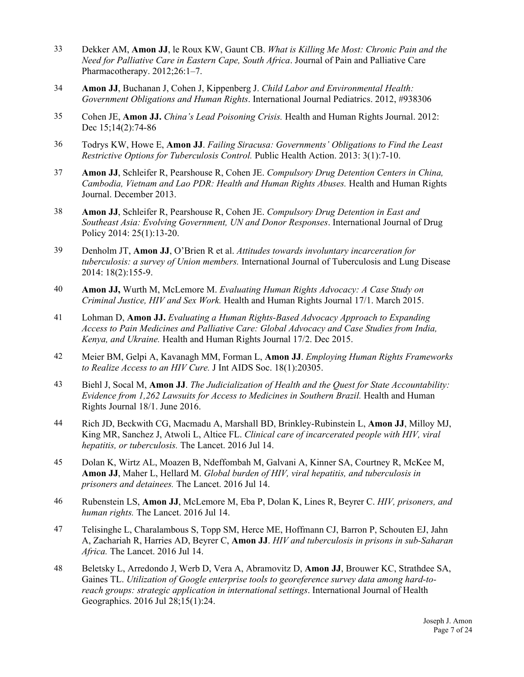- 33 Dekker AM, **Amon JJ**, le Roux KW, Gaunt CB. *What is Killing Me Most: Chronic Pain and the Need for Palliative Care in Eastern Cape, South Africa*. Journal of Pain and Palliative Care Pharmacotherapy. 2012;26:1–7.
- 34 **Amon JJ**, Buchanan J, Cohen J, Kippenberg J. *Child Labor and Environmental Health: Government Obligations and Human Rights*. International Journal Pediatrics. 2012, #938306
- 35 Cohen JE, **Amon JJ.** *China's Lead Poisoning Crisis.* Health and Human Rights Journal. 2012: Dec 15;14(2):74-86
- 36 Todrys KW, Howe E, **Amon JJ**. *Failing Siracusa: Governments' Obligations to Find the Least Restrictive Options for Tuberculosis Control.* Public Health Action. 2013: 3(1):7-10.
- 37 **Amon JJ**, Schleifer R, Pearshouse R, Cohen JE. *Compulsory Drug Detention Centers in China, Cambodia, Vietnam and Lao PDR: Health and Human Rights Abuses.* Health and Human Rights Journal. December 2013.
- 38 **Amon JJ**, Schleifer R, Pearshouse R, Cohen JE. *Compulsory Drug Detention in East and Southeast Asia: Evolving Government, UN and Donor Responses*. International Journal of Drug Policy 2014: 25(1):13-20.
- 39 Denholm JT, **Amon JJ**, O'Brien R et al. *Attitudes towards involuntary incarceration for tuberculosis: a survey of Union members.* International Journal of Tuberculosis and Lung Disease 2014: 18(2):155-9.
- 40 **Amon JJ,** Wurth M, McLemore M. *Evaluating Human Rights Advocacy: A Case Study on Criminal Justice, HIV and Sex Work.* Health and Human Rights Journal 17/1. March 2015.
- 41 Lohman D, **Amon JJ.** *Evaluating a Human Rights-Based Advocacy Approach to Expanding Access to Pain Medicines and Palliative Care: Global Advocacy and Case Studies from India, Kenya, and Ukraine.* Health and Human Rights Journal 17/2. Dec 2015.
- 42 Meier BM, Gelpi A, Kavanagh MM, Forman L, **Amon JJ**. *Employing Human Rights Frameworks to Realize Access to an HIV Cure.* J Int AIDS Soc. 18(1):20305.
- 43 Biehl J, Socal M, **Amon JJ**. *The Judicialization of Health and the Quest for State Accountability: Evidence from 1,262 Lawsuits for Access to Medicines in Southern Brazil.* Health and Human Rights Journal 18/1. June 2016.
- 44 Rich JD, Beckwith CG, Macmadu A, Marshall BD, Brinkley-Rubinstein L, **Amon JJ**, Milloy MJ, King MR, Sanchez J, Atwoli L, Altice FL. *Clinical care of incarcerated people with HIV, viral hepatitis, or tuberculosis.* The Lancet. 2016 Jul 14.
- 45 Dolan K, Wirtz AL, Moazen B, Ndeffombah M, Galvani A, Kinner SA, Courtney R, McKee M, **Amon JJ**, Maher L, Hellard M. *Global burden of HIV, viral hepatitis, and tuberculosis in prisoners and detainees.* The Lancet. 2016 Jul 14.
- 46 Rubenstein LS, **Amon JJ**, McLemore M, Eba P, Dolan K, Lines R, Beyrer C. *HIV, prisoners, and human rights.* The Lancet. 2016 Jul 14.
- 47 Telisinghe L, Charalambous S, Topp SM, Herce ME, Hoffmann CJ, Barron P, Schouten EJ, Jahn A, Zachariah R, Harries AD, Beyrer C, **Amon JJ**. *HIV and tuberculosis in prisons in sub-Saharan Africa.* The Lancet. 2016 Jul 14.
- 48 Beletsky L, Arredondo J, Werb D, Vera A, Abramovitz D, **Amon JJ**, Brouwer KC, Strathdee SA, Gaines TL. *Utilization of Google enterprise tools to georeference survey data among hard-toreach groups: strategic application in international settings*. International Journal of Health Geographics. 2016 Jul 28;15(1):24.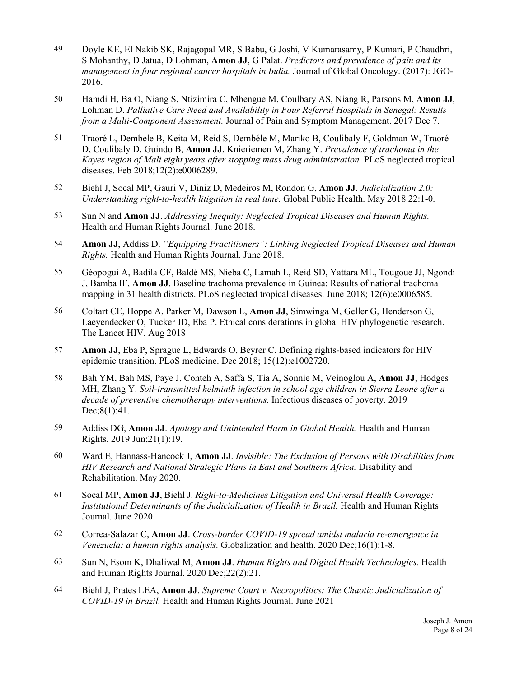- 49 Doyle KE, El Nakib SK, Rajagopal MR, S Babu, G Joshi, V Kumarasamy, P Kumari, P Chaudhri, S Mohanthy, D Jatua, D Lohman, **Amon JJ**, G Palat. *Predictors and prevalence of pain and its management in four regional cancer hospitals in India.* Journal of Global Oncology. (2017): JGO-2016.
- 50 Hamdi H, Ba O, Niang S, Ntizimira C, Mbengue M, Coulbary AS, Niang R, Parsons M, **Amon JJ**, Lohman D. *Palliative Care Need and Availability in Four Referral Hospitals in Senegal: Results from a Multi-Component Assessment.* Journal of Pain and Symptom Management. 2017 Dec 7.
- 51 Traoré L, Dembele B, Keita M, Reid S, Dembéle M, Mariko B, Coulibaly F, Goldman W, Traoré D, Coulibaly D, Guindo B, **Amon JJ**, Knieriemen M, Zhang Y. *Prevalence of trachoma in the Kayes region of Mali eight years after stopping mass drug administration.* PLoS neglected tropical diseases. Feb 2018;12(2):e0006289.
- 52 Biehl J, Socal MP, Gauri V, Diniz D, Medeiros M, Rondon G, **Amon JJ**. *Judicialization 2.0: Understanding right-to-health litigation in real time.* Global Public Health. May 2018 22:1-0.
- 53 Sun N and **Amon JJ**. *Addressing Inequity: Neglected Tropical Diseases and Human Rights.* Health and Human Rights Journal. June 2018.
- 54 **Amon JJ**, Addiss D. *"Equipping Practitioners": Linking Neglected Tropical Diseases and Human Rights.* Health and Human Rights Journal. June 2018.
- 55 Géopogui A, Badila CF, Baldé MS, Nieba C, Lamah L, Reid SD, Yattara ML, Tougoue JJ, Ngondi J, Bamba IF, **Amon JJ**. Baseline trachoma prevalence in Guinea: Results of national trachoma mapping in 31 health districts. PLoS neglected tropical diseases. June 2018; 12(6):e0006585.
- 56 Coltart CE, Hoppe A, Parker M, Dawson L, **Amon JJ**, Simwinga M, Geller G, Henderson G, Laeyendecker O, Tucker JD, Eba P. Ethical considerations in global HIV phylogenetic research. The Lancet HIV. Aug 2018
- 57 **Amon JJ**, Eba P, Sprague L, Edwards O, Beyrer C. Defining rights-based indicators for HIV epidemic transition. PLoS medicine. Dec 2018; 15(12):e1002720.
- 58 Bah YM, Bah MS, Paye J, Conteh A, Saffa S, Tia A, Sonnie M, Veinoglou A, **Amon JJ**, Hodges MH, Zhang Y. *Soil-transmitted helminth infection in school age children in Sierra Leone after a decade of preventive chemotherapy interventions.* Infectious diseases of poverty. 2019 Dec;8(1):41.
- 59 Addiss DG, **Amon JJ**. *Apology and Unintended Harm in Global Health.* Health and Human Rights. 2019 Jun;21(1):19.
- 60 Ward E, Hannass-Hancock J, **Amon JJ**. *Invisible: The Exclusion of Persons with Disabilities from HIV Research and National Strategic Plans in East and Southern Africa.* Disability and Rehabilitation. May 2020.
- 61 Socal MP, **Amon JJ**, Biehl J. *Right-to-Medicines Litigation and Universal Health Coverage: Institutional Determinants of the Judicialization of Health in Brazil.* Health and Human Rights Journal. June 2020
- 62 Correa-Salazar C, **Amon JJ**. *Cross-border COVID-19 spread amidst malaria re-emergence in Venezuela: a human rights analysis.* Globalization and health. 2020 Dec;16(1):1-8.
- 63 Sun N, Esom K, Dhaliwal M, **Amon JJ**. *Human Rights and Digital Health Technologies.* Health and Human Rights Journal. 2020 Dec;22(2):21.
- 64 Biehl J, Prates LEA, **Amon JJ**. *Supreme Court v. Necropolitics: The Chaotic Judicialization of COVID-19 in Brazil.* Health and Human Rights Journal. June 2021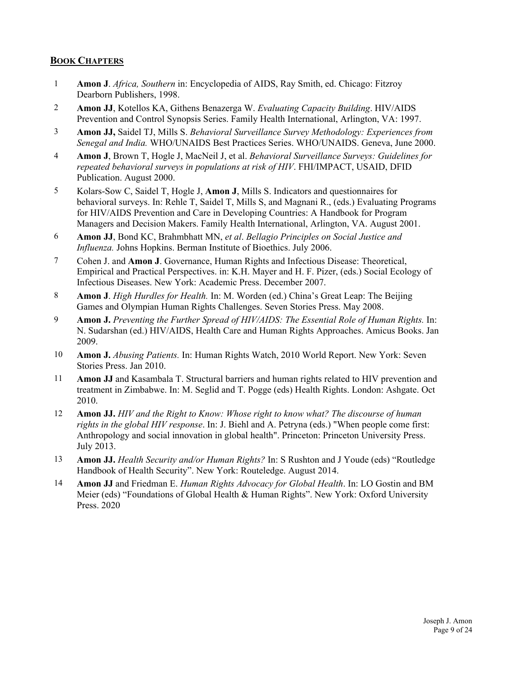## **BOOK CHAPTERS**

- 1 **Amon J**. *Africa, Southern* in: Encyclopedia of AIDS, Ray Smith, ed. Chicago: Fitzroy Dearborn Publishers, 1998.
- 2 **Amon JJ**, Kotellos KA, Githens Benazerga W. *Evaluating Capacity Building*. HIV/AIDS Prevention and Control Synopsis Series. Family Health International, Arlington, VA: 1997.
- 3 **Amon JJ,** Saidel TJ, Mills S. *Behavioral Surveillance Survey Methodology: Experiences from Senegal and India.* WHO/UNAIDS Best Practices Series. WHO/UNAIDS. Geneva, June 2000.
- 4 **Amon J**, Brown T, Hogle J, MacNeil J, et al. *Behavioral Surveillance Surveys: Guidelines for repeated behavioral surveys in populations at risk of HIV*. FHI/IMPACT, USAID, DFID Publication. August 2000.
- 5 Kolars-Sow C, Saidel T, Hogle J, **Amon J**, Mills S. Indicators and questionnaires for behavioral surveys. In: Rehle T, Saidel T, Mills S, and Magnani R., (eds.) Evaluating Programs for HIV/AIDS Prevention and Care in Developing Countries: A Handbook for Program Managers and Decision Makers. Family Health International, Arlington, VA. August 2001.
- 6 **Amon JJ**, Bond KC, Brahmbhatt MN, *et al*. *Bellagio Principles on Social Justice and Influenza.* Johns Hopkins. Berman Institute of Bioethics. July 2006.
- 7 Cohen J. and **Amon J**. Governance, Human Rights and Infectious Disease: Theoretical, Empirical and Practical Perspectives. in: K.H. Mayer and H. F. Pizer, (eds.) Social Ecology of Infectious Diseases. New York: Academic Press. December 2007.
- 8 **Amon J**. *High Hurdles for Health.* In: M. Worden (ed.) China's Great Leap: The Beijing Games and Olympian Human Rights Challenges. Seven Stories Press. May 2008.
- 9 **Amon J.** *Preventing the Further Spread of HIV/AIDS: The Essential Role of Human Rights.* In: N. Sudarshan (ed.) HIV/AIDS, Health Care and Human Rights Approaches. Amicus Books. Jan 2009.
- 10 **Amon J.** *Abusing Patients.* In: Human Rights Watch, 2010 World Report. New York: Seven Stories Press. Jan 2010.
- 11 **Amon JJ** and Kasambala T. Structural barriers and human rights related to HIV prevention and treatment in Zimbabwe. In: M. Seglid and T. Pogge (eds) Health Rights. London: Ashgate. Oct 2010.
- 12 **Amon JJ.** *HIV and the Right to Know: Whose right to know what? The discourse of human rights in the global HIV response*. In: J. Biehl and A. Petryna (eds.) "When people come first: Anthropology and social innovation in global health". Princeton: Princeton University Press. July 2013.
- 13 **Amon JJ.** *Health Security and/or Human Rights?* In: S Rushton and J Youde (eds) "Routledge Handbook of Health Security". New York: Routeledge. August 2014.
- 14 **Amon JJ** and Friedman E. *Human Rights Advocacy for Global Health*. In: LO Gostin and BM Meier (eds) "Foundations of Global Health & Human Rights". New York: Oxford University Press. 2020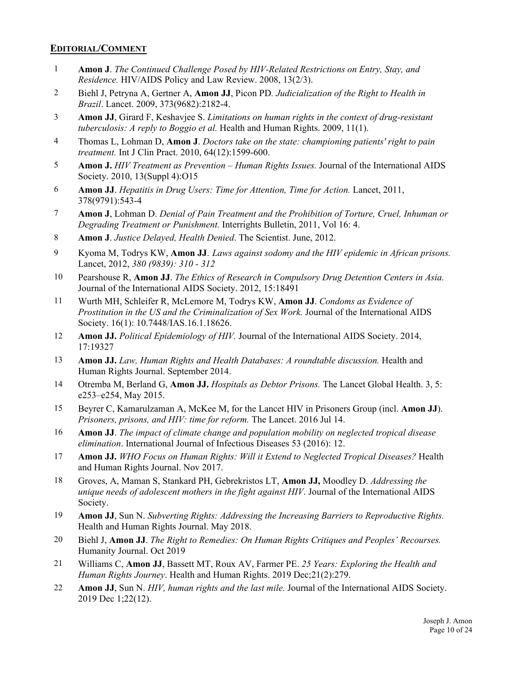#### **EDITORIAL/COMMENT**

- 1 **Amon J**. *The Continued Challenge Posed by HIV-Related Restrictions on Entry, Stay, and Residence.* HIV/AIDS Policy and Law Review. 2008, 13(2/3).
- 2 Biehl J, Petryna A, Gertner A, **Amon JJ**, Picon PD*. Judicialization of the Right to Health in Brazil*. Lancet. 2009, 373(9682):2182-4.
- 3 **Amon JJ**, Girard F, Keshavjee S. *Limitations on human rights in the context of drug-resistant tuberculosis: A reply to Boggio et al.* Health and Human Rights. 2009, 11(1).
- 4 Thomas L, Lohman D, **Amon J**. *Doctors take on the state: championing patients' right to pain treatment.* Int J Clin Pract. 2010, 64(12):1599-600.
- 5 **Amon J.** *HIV Treatment as Prevention Human Rights Issues.* Journal of the International AIDS Society. 2010, 13(Suppl 4):O15
- 6 **Amon JJ**. *Hepatitis in Drug Users: Time for Attention, Time for Action.* Lancet, 2011, 378(9791):543-4
- 7 **Amon J**, Lohman D. *Denial of Pain Treatment and the Prohibition of Torture, Cruel, Inhuman or Degrading Treatment or Punishment.* Interrights Bulletin, 2011, Vol 16: 4.
- 8 **Amon J**. *Justice Delayed, Health Denied*. The Scientist. June, 2012.
- 9 Kyoma M, Todrys KW, **Amon JJ**. *Laws against sodomy and the HIV epidemic in African prisons.* Lancet, 2012, *380 (9839): 310 - 312*
- 10 Pearshouse R, **Amon JJ**. *The Ethics of Research in Compulsory Drug Detention Centers in Asia.*  Journal of the International AIDS Society. 2012, 15:18491
- 11 Wurth MH, Schleifer R, McLemore M, Todrys KW, **Amon JJ**. *Condoms as Evidence of Prostitution in the US and the Criminalization of Sex Work.* Journal of the International AIDS Society. 16(1): 10.7448/IAS.16.1.18626.
- 12 **Amon JJ.** *Political Epidemiology of HIV.* Journal of the International AIDS Society. 2014, 17:19327
- 13 **Amon JJ.** *Law, Human Rights and Health Databases: A roundtable discussion.* Health and Human Rights Journal. September 2014.
- 14 Otremba M, Berland G, **Amon JJ.** *Hospitals as Debtor Prisons.* The Lancet Global Health. 3, 5: e253–e254, May 2015.
- 15 Beyrer C, Kamarulzaman A, McKee M, for the Lancet HIV in Prisoners Group (incl. **Amon JJ**). *Prisoners, prisons, and HIV: time for reform.* The Lancet. 2016 Jul 14.
- 16 **Amon JJ**. *The impact of climate change and population mobility on neglected tropical disease elimination*. International Journal of Infectious Diseases 53 (2016): 12.
- 17 **Amon JJ.** *WHO Focus on Human Rights: Will it Extend to Neglected Tropical Diseases?* Health and Human Rights Journal. Nov 2017.
- 18 Groves, A, Maman S, Stankard PH, Gebrekristos LT, **Amon JJ,** Moodley D. *Addressing the unique needs of adolescent mothers in the fight against HIV*. Journal of the International AIDS Society.
- 19 **Amon JJ**, Sun N. *Subverting Rights: Addressing the Increasing Barriers to Reproductive Rights.* Health and Human Rights Journal. May 2018.
- 20 Biehl J, **Amon JJ**. *The Right to Remedies: On Human Rights Critiques and Peoples' Recourses.* Humanity Journal. Oct 2019
- 21 Williams C, **Amon JJ**, Bassett MT, Roux AV, Farmer PE. *25 Years: Exploring the Health and Human Rights Journey*. Health and Human Rights. 2019 Dec;21(2):279.
- 22 **Amon JJ**, Sun N. *HIV, human rights and the last mile.* Journal of the International AIDS Society. 2019 Dec 1;22(12).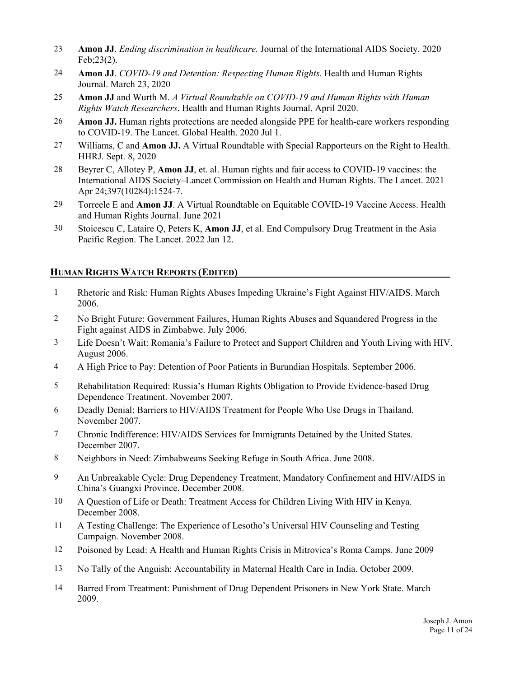- 23 **Amon JJ**. *Ending discrimination in healthcare.* Journal of the International AIDS Society. 2020 Feb;23(2).
- 24 **Amon JJ**. *COVID-19 and Detention: Respecting Human Rights.* Health and Human Rights Journal. March 23, 2020
- 25 **Amon JJ** and Wurth M. *A Virtual Roundtable on COVID-19 and Human Rights with Human Rights Watch Researchers*. Health and Human Rights Journal. April 2020.
- 26 **Amon JJ.** Human rights protections are needed alongside PPE for health-care workers responding to COVID-19. The Lancet. Global Health. 2020 Jul 1.
- 27 Williams, C and **Amon JJ.** A Virtual Roundtable with Special Rapporteurs on the Right to Health. HHRJ. Sept. 8, 2020
- 28 Beyrer C, Allotey P, **Amon JJ**, et. al. Human rights and fair access to COVID-19 vaccines: the International AIDS Society–Lancet Commission on Health and Human Rights. The Lancet. 2021 Apr 24;397(10284):1524-7.
- 29 Torreele E and **Amon JJ**. A Virtual Roundtable on Equitable COVID-19 Vaccine Access. Health and Human Rights Journal. June 2021
- 30 Stoicescu C, Lataire Q, Peters K, **Amon JJ**, et al. End Compulsory Drug Treatment in the Asia Pacific Region. The Lancet. 2022 Jan 12.

#### **HUMAN RIGHTS WATCH REPORTS (EDITED)**

- 1 Rhetoric and Risk: Human Rights Abuses Impeding Ukraine's Fight Against HIV/AIDS. March 2006.
- 2 No Bright Future: Government Failures, Human Rights Abuses and Squandered Progress in the Fight against AIDS in Zimbabwe. July 2006.
- 3 Life Doesn't Wait: Romania's Failure to Protect and Support Children and Youth Living with HIV. August 2006.
- 4 A High Price to Pay: Detention of Poor Patients in Burundian Hospitals. September 2006.
- 5 Rehabilitation Required: Russia's Human Rights Obligation to Provide Evidence-based Drug Dependence Treatment. November 2007.
- 6 Deadly Denial: Barriers to HIV/AIDS Treatment for People Who Use Drugs in Thailand. November 2007.
- 7 Chronic Indifference: HIV/AIDS Services for Immigrants Detained by the United States. December 2007.
- 8 Neighbors in Need: Zimbabweans Seeking Refuge in South Africa. June 2008.
- 9 An Unbreakable Cycle: Drug Dependency Treatment, Mandatory Confinement and HIV/AIDS in China's Guangxi Province. December 2008.
- 10 A Question of Life or Death: Treatment Access for Children Living With HIV in Kenya. December 2008.
- 11 A Testing Challenge: The Experience of Lesotho's Universal HIV Counseling and Testing Campaign. November 2008.
- 12 Poisoned by Lead: A Health and Human Rights Crisis in Mitrovica's Roma Camps. June 2009
- 13 No Tally of the Anguish: Accountability in Maternal Health Care in India. October 2009.
- 14 Barred From Treatment: Punishment of Drug Dependent Prisoners in New York State. March 2009.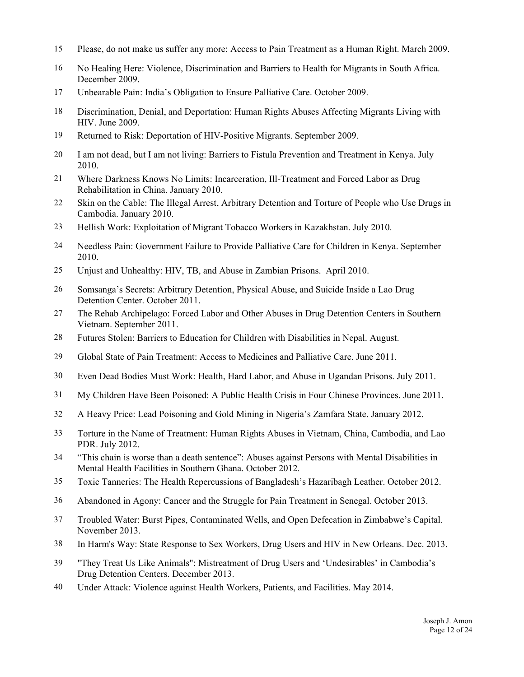- 15 Please, do not make us suffer any more: Access to Pain Treatment as a Human Right. March 2009.
- 16 No Healing Here: Violence, Discrimination and Barriers to Health for Migrants in South Africa. December 2009.
- 17 Unbearable Pain: India's Obligation to Ensure Palliative Care. October 2009.
- 18 Discrimination, Denial, and Deportation: Human Rights Abuses Affecting Migrants Living with HIV. June 2009.
- 19 Returned to Risk: Deportation of HIV-Positive Migrants. September 2009.
- 20 I am not dead, but I am not living: Barriers to Fistula Prevention and Treatment in Kenya. July 2010.
- 21 Where Darkness Knows No Limits: Incarceration, Ill-Treatment and Forced Labor as Drug Rehabilitation in China. January 2010.
- 22 Skin on the Cable: The Illegal Arrest, Arbitrary Detention and Torture of People who Use Drugs in Cambodia. January 2010.
- 23 Hellish Work: Exploitation of Migrant Tobacco Workers in Kazakhstan. July 2010.
- 24 Needless Pain: Government Failure to Provide Palliative Care for Children in Kenya. September 2010.
- 25 Unjust and Unhealthy: HIV, TB, and Abuse in Zambian Prisons. April 2010.
- 26 Somsanga's Secrets: Arbitrary Detention, Physical Abuse, and Suicide Inside a Lao Drug Detention Center. October 2011.
- 27 The Rehab Archipelago: Forced Labor and Other Abuses in Drug Detention Centers in Southern Vietnam. September 2011.
- 28 Futures Stolen: Barriers to Education for Children with Disabilities in Nepal. August.
- 29 Global State of Pain Treatment: Access to Medicines and Palliative Care. June 2011.
- 30 Even Dead Bodies Must Work: Health, Hard Labor, and Abuse in Ugandan Prisons. July 2011.
- 31 My Children Have Been Poisoned: A Public Health Crisis in Four Chinese Provinces. June 2011.
- 32 A Heavy Price: Lead Poisoning and Gold Mining in Nigeria's Zamfara State. January 2012.
- 33 Torture in the Name of Treatment: Human Rights Abuses in Vietnam, China, Cambodia, and Lao PDR. July 2012.
- 34 "This chain is worse than a death sentence": Abuses against Persons with Mental Disabilities in Mental Health Facilities in Southern Ghana. October 2012.
- 35 Toxic Tanneries: The Health Repercussions of Bangladesh's Hazaribagh Leather. October 2012.
- 36 Abandoned in Agony: Cancer and the Struggle for Pain Treatment in Senegal. October 2013.
- 37 Troubled Water: Burst Pipes, Contaminated Wells, and Open Defecation in Zimbabwe's Capital. November 2013.
- 38 In Harm's Way: State Response to Sex Workers, Drug Users and HIV in New Orleans. Dec. 2013.
- 39 "They Treat Us Like Animals": Mistreatment of Drug Users and 'Undesirables' in Cambodia's Drug Detention Centers. December 2013.
- 40 Under Attack: Violence against Health Workers, Patients, and Facilities. May 2014.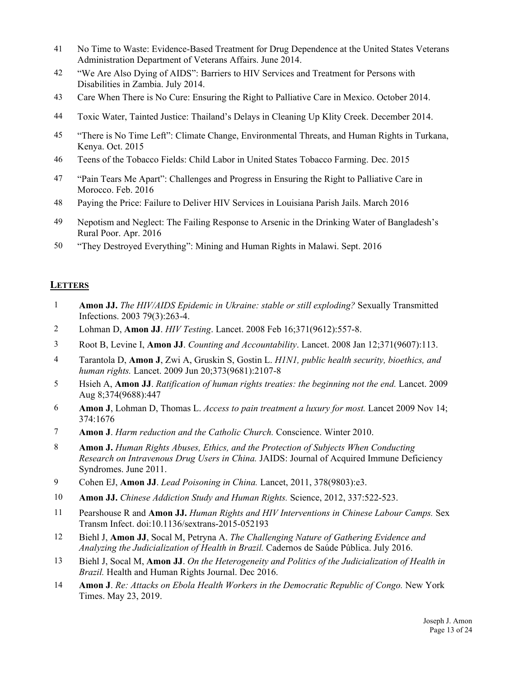- 41 No Time to Waste: Evidence-Based Treatment for Drug Dependence at the United States Veterans Administration Department of Veterans Affairs. June 2014.
- 42 "We Are Also Dying of AIDS": Barriers to HIV Services and Treatment for Persons with Disabilities in Zambia. July 2014.
- 43 Care When There is No Cure: Ensuring the Right to Palliative Care in Mexico. October 2014.
- 44 Toxic Water, Tainted Justice: Thailand's Delays in Cleaning Up Klity Creek. December 2014.
- 45 "There is No Time Left": Climate Change, Environmental Threats, and Human Rights in Turkana, Kenya. Oct. 2015
- 46 Teens of the Tobacco Fields: Child Labor in United States Tobacco Farming. Dec. 2015
- 47 "Pain Tears Me Apart": Challenges and Progress in Ensuring the Right to Palliative Care in Morocco. Feb. 2016
- 48 Paying the Price: Failure to Deliver HIV Services in Louisiana Parish Jails. March 2016
- 49 Nepotism and Neglect: The Failing Response to Arsenic in the Drinking Water of Bangladesh's Rural Poor. Apr. 2016
- 50 "They Destroyed Everything": Mining and Human Rights in Malawi. Sept. 2016

## **LETTERS**

- 1 **Amon JJ.** *The HIV/AIDS Epidemic in Ukraine: stable or still exploding?* Sexually Transmitted Infections. 2003 79(3):263-4.
- 2 Lohman D, **Amon JJ**. *HIV Testing*. Lancet. 2008 Feb 16;371(9612):557-8.
- 3 Root B, Levine I, **Amon JJ**. *Counting and Accountability*. Lancet. 2008 Jan 12;371(9607):113.
- 4 Tarantola D, **Amon J**, Zwi A, Gruskin S, Gostin L. *H1N1, public health security, bioethics, and human rights.* Lancet. 2009 Jun 20;373(9681):2107-8
- 5 Hsieh A, **Amon JJ**. *Ratification of human rights treaties: the beginning not the end.* Lancet. 2009 Aug 8;374(9688):447
- 6 **Amon J**, Lohman D, Thomas L. *Access to pain treatment a luxury for most.* Lancet 2009 Nov 14; 374:1676
- 7 **Amon J**. *Harm reduction and the Catholic Church.* Conscience. Winter 2010.
- 8 **Amon J.** *Human Rights Abuses, Ethics, and the Protection of Subjects When Conducting Research on Intravenous Drug Users in China.* JAIDS: Journal of Acquired Immune Deficiency Syndromes. June 2011.
- 9 Cohen EJ, **Amon JJ**. *Lead Poisoning in China.* Lancet, 2011, 378(9803):e3.
- 10 **Amon JJ.** *Chinese Addiction Study and Human Rights.* Science, 2012, 337:522-523.
- 11 Pearshouse R and **Amon JJ.** *Human Rights and HIV Interventions in Chinese Labour Camps.* Sex Transm Infect. doi:10.1136/sextrans-2015-052193
- 12 Biehl J, **Amon JJ**, Socal M, Petryna A. *The Challenging Nature of Gathering Evidence and Analyzing the Judicialization of Health in Brazil.* Cadernos de Saúde Pública. July 2016.
- 13 Biehl J, Socal M, **Amon JJ**. *On the Heterogeneity and Politics of the Judicialization of Health in Brazil.* Health and Human Rights Journal. Dec 2016.
- 14 **Amon J**. *Re: Attacks on Ebola Health Workers in the Democratic Republic of Congo.* New York Times. May 23, 2019.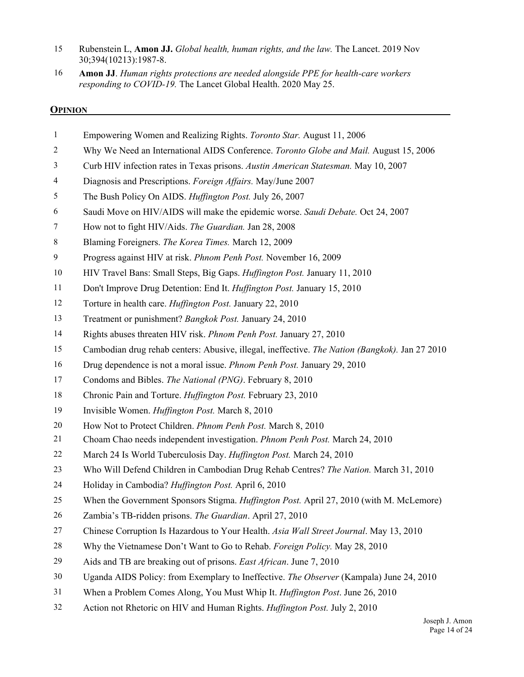- 15 Rubenstein L, **Amon JJ.** *Global health, human rights, and the law.* The Lancet. 2019 Nov 30;394(10213):1987-8.
- 16 **Amon JJ**. *Human rights protections are needed alongside PPE for health-care workers responding to COVID-19.* The Lancet Global Health. 2020 May 25.

#### **OPINION**

- 1 Empowering Women and Realizing Rights. *Toronto Star.* August 11, 2006
- 2 Why We Need an International AIDS Conference. *Toronto Globe and Mail.* August 15, 2006
- 3 Curb HIV infection rates in Texas prisons. *Austin American Statesman.* May 10, 2007
- 4 Diagnosis and Prescriptions. *Foreign Affairs.* May/June 2007
- 5 The Bush Policy On AIDS. *Huffington Post.* July 26, 2007
- 6 Saudi Move on HIV/AIDS will make the epidemic worse. *Saudi Debate.* Oct 24, 2007
- 7 How not to fight HIV/Aids. *The Guardian.* Jan 28, 2008
- 8 Blaming Foreigners. *The Korea Times.* March 12, 2009
- 9 Progress against HIV at risk. *Phnom Penh Post.* November 16, 2009
- 10 HIV Travel Bans: Small Steps, Big Gaps. *Huffington Post.* January 11, 2010
- 11 Don't Improve Drug Detention: End It. *Huffington Post.* January 15, 2010
- 12 Torture in health care. *Huffington Post.* January 22, 2010
- 13 Treatment or punishment? *Bangkok Post.* January 24, 2010
- 14 Rights abuses threaten HIV risk. *Phnom Penh Post.* January 27, 2010
- 15 Cambodian drug rehab centers: Abusive, illegal, ineffective. *The Nation (Bangkok).* Jan 27 2010
- 16 Drug dependence is not a moral issue. *Phnom Penh Post.* January 29, 2010
- 17 Condoms and Bibles. *The National (PNG)*. February 8, 2010
- 18 Chronic Pain and Torture. *Huffington Post.* February 23, 2010
- 19 Invisible Women. *Huffington Post.* March 8, 2010
- 20 How Not to Protect Children. *Phnom Penh Post.* March 8, 2010
- 21 Choam Chao needs independent investigation. *Phnom Penh Post.* March 24, 2010
- 22 March 24 Is World Tuberculosis Day. *Huffington Post.* March 24, 2010
- 23 Who Will Defend Children in Cambodian Drug Rehab Centres? *The Nation.* March 31, 2010
- 24 Holiday in Cambodia? *Huffington Post.* April 6, 2010
- 25 When the Government Sponsors Stigma. *Huffington Post.* April 27, 2010 (with M. McLemore)
- 26 Zambia's TB-ridden prisons. *The Guardian*. April 27, 2010
- 27 Chinese Corruption Is Hazardous to Your Health. *Asia Wall Street Journal*. May 13, 2010
- 28 Why the Vietnamese Don't Want to Go to Rehab. *Foreign Policy.* May 28, 2010
- 29 Aids and TB are breaking out of prisons. *East African*. June 7, 2010
- 30 Uganda AIDS Policy: from Exemplary to Ineffective. *The Observer* (Kampala) June 24, 2010
- 31 When a Problem Comes Along, You Must Whip It. *Huffington Post*. June 26, 2010
- 32 Action not Rhetoric on HIV and Human Rights. *Huffington Post.* July 2, 2010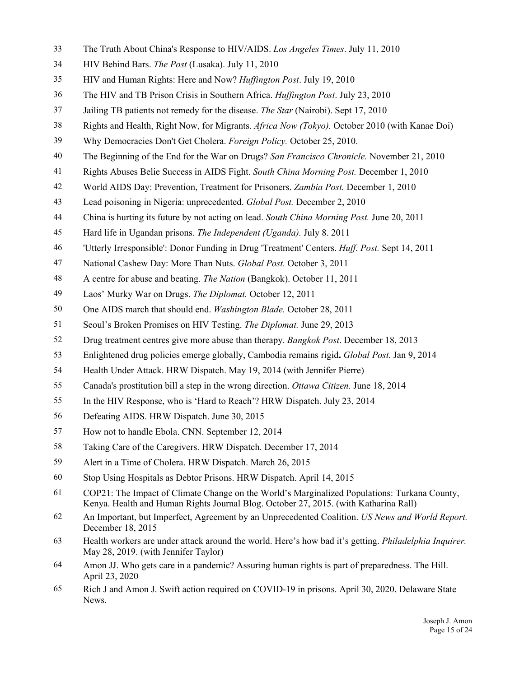- 33 The Truth About China's Response to HIV/AIDS. *Los Angeles Times*. July 11, 2010
- 34 HIV Behind Bars. *The Post* (Lusaka). July 11, 2010
- 35 HIV and Human Rights: Here and Now? *Huffington Post*. July 19, 2010
- 36 The HIV and TB Prison Crisis in Southern Africa. *Huffington Post*. July 23, 2010
- 37 Jailing TB patients not remedy for the disease. *The Star* (Nairobi). Sept 17, 2010
- 38 Rights and Health, Right Now, for Migrants. *Africa Now (Tokyo).* October 2010 (with Kanae Doi)
- 39 Why Democracies Don't Get Cholera. *Foreign Policy.* October 25, 2010.
- 40 The Beginning of the End for the War on Drugs? *San Francisco Chronicle.* November 21, 2010
- 41 Rights Abuses Belie Success in AIDS Fight. *South China Morning Post.* December 1, 2010
- 42 World AIDS Day: Prevention, Treatment for Prisoners. *Zambia Post.* December 1, 2010
- 43 Lead poisoning in Nigeria: unprecedented. *Global Post.* December 2, 2010
- 44 China is hurting its future by not acting on lead. *South China Morning Post.* June 20, 2011
- 45 Hard life in Ugandan prisons. *The Independent (Uganda).* July 8. 2011
- 46 'Utterly Irresponsible': Donor Funding in Drug 'Treatment' Centers. *Huff. Post.* Sept 14, 2011
- 47 National Cashew Day: More Than Nuts. *Global Post.* October 3, 2011
- 48 A centre for abuse and beating. *The Nation* (Bangkok). October 11, 2011
- 49 Laos' Murky War on Drugs. *The Diplomat.* October 12, 2011
- 50 One AIDS march that should end. *Washington Blade.* October 28, 2011
- 51 Seoul's Broken Promises on HIV Testing. *The Diplomat.* June 29, 2013
- 52 Drug treatment centres give more abuse than therapy. *Bangkok Post*. December 18, 2013
- 53 Enlightened drug policies emerge globally, Cambodia remains rigid**.** *Global Post.* Jan 9, 2014
- 54 Health Under Attack. HRW Dispatch. May 19, 2014 (with Jennifer Pierre)
- 55 Canada's prostitution bill a step in the wrong direction. *Ottawa Citizen.* June 18, 2014
- 55 In the HIV Response, who is 'Hard to Reach'? HRW Dispatch. July 23, 2014
- 56 Defeating AIDS. HRW Dispatch. June 30, 2015
- 57 How not to handle Ebola. CNN. September 12, 2014
- 58 Taking Care of the Caregivers. HRW Dispatch. December 17, 2014
- 59 Alert in a Time of Cholera. HRW Dispatch. March 26, 2015
- 60 Stop Using Hospitals as Debtor Prisons. HRW Dispatch. April 14, 2015
- 61 COP21: The Impact of Climate Change on the World's Marginalized Populations: Turkana County, Kenya. Health and Human Rights Journal Blog. October 27, 2015. (with Katharina Rall)
- 62 An Important, but Imperfect, Agreement by an Unprecedented Coalition. *US News and World Report.* December 18, 2015
- 63 Health workers are under attack around the world. Here's how bad it's getting. *Philadelphia Inquirer.* May 28, 2019. (with Jennifer Taylor)
- 64 Amon JJ. Who gets care in a pandemic? Assuring human rights is part of preparedness. The Hill. April 23, 2020
- 65 Rich J and Amon J. Swift action required on COVID-19 in prisons. April 30, 2020. Delaware State News.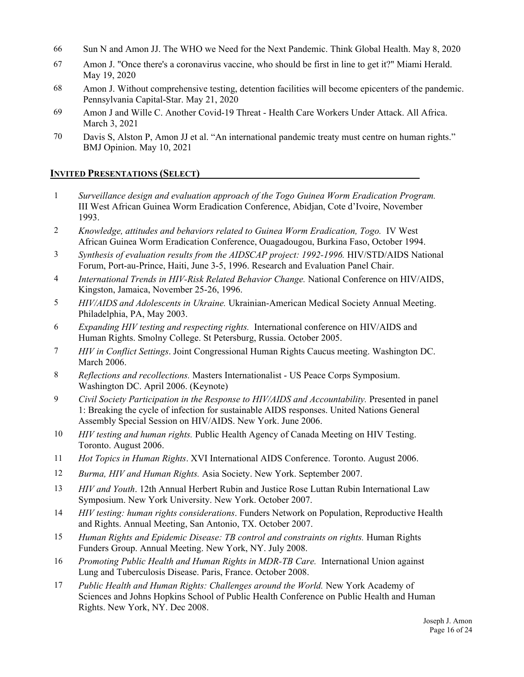- 66 Sun N and Amon JJ. The WHO we Need for the Next Pandemic. Think Global Health. May 8, 2020
- 67 Amon J. "Once there's a coronavirus vaccine, who should be first in line to get it?" Miami Herald. May 19, 2020
- 68 Amon J. Without comprehensive testing, detention facilities will become epicenters of the pandemic. Pennsylvania Capital-Star. May 21, 2020
- 69 Amon J and Wille C. Another Covid-19 Threat Health Care Workers Under Attack. All Africa. March 3, 2021
- 70 Davis S, Alston P, Amon JJ et al. "An international pandemic treaty must centre on human rights." BMJ Opinion. May 10, 2021

## **INVITED PRESENTATIONS (SELECT)**

- 1 *Surveillance design and evaluation approach of the Togo Guinea Worm Eradication Program.* III West African Guinea Worm Eradication Conference, Abidjan, Cote d'Ivoire, November 1993.
- 2 *Knowledge, attitudes and behaviors related to Guinea Worm Eradication, Togo.* IV West African Guinea Worm Eradication Conference, Ouagadougou, Burkina Faso, October 1994.
- 3 *Synthesis of evaluation results from the AIDSCAP project: 1992-1996.* HIV/STD/AIDS National Forum, Port-au-Prince, Haiti, June 3-5, 1996. Research and Evaluation Panel Chair.
- 4 *International Trends in HIV-Risk Related Behavior Change.* National Conference on HIV/AIDS, Kingston, Jamaica, November 25-26, 1996.
- 5 *HIV/AIDS and Adolescents in Ukraine.* Ukrainian-American Medical Society Annual Meeting. Philadelphia, PA, May 2003.
- 6 *Expanding HIV testing and respecting rights.* International conference on HIV/AIDS and Human Rights. Smolny College. St Petersburg, Russia. October 2005.
- 7 *HIV in Conflict Settings*. Joint Congressional Human Rights Caucus meeting. Washington DC. March 2006.
- 8 *Reflections and recollections.* Masters Internationalist US Peace Corps Symposium. Washington DC. April 2006. (Keynote)
- 9 *Civil Society Participation in the Response to HIV/AIDS and Accountability.* Presented in panel 1: Breaking the cycle of infection for sustainable AIDS responses. United Nations General Assembly Special Session on HIV/AIDS. New York. June 2006.
- 10 *HIV testing and human rights.* Public Health Agency of Canada Meeting on HIV Testing. Toronto. August 2006.
- 11 *Hot Topics in Human Rights*. XVI International AIDS Conference. Toronto. August 2006.
- 12 *Burma, HIV and Human Rights.* Asia Society. New York. September 2007.
- 13 *HIV and Youth*. 12th Annual Herbert Rubin and Justice Rose Luttan Rubin International Law Symposium. New York University. New York. October 2007.
- 14 *HIV testing: human rights considerations*. Funders Network on Population, Reproductive Health and Rights. Annual Meeting, San Antonio, TX. October 2007.
- 15 *Human Rights and Epidemic Disease: TB control and constraints on rights.* Human Rights Funders Group. Annual Meeting. New York, NY. July 2008.
- 16 *Promoting Public Health and Human Rights in MDR-TB Care.* International Union against Lung and Tuberculosis Disease. Paris, France. October 2008.
- 17 *Public Health and Human Rights: Challenges around the World.* New York Academy of Sciences and Johns Hopkins School of Public Health Conference on Public Health and Human Rights. New York, NY. Dec 2008.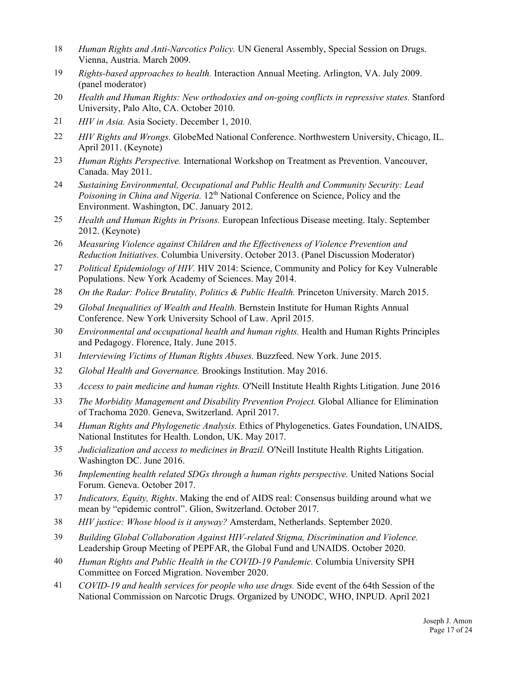- 18 *Human Rights and Anti-Narcotics Policy.* UN General Assembly, Special Session on Drugs. Vienna, Austria. March 2009.
- 19 *Rights-based approaches to health.* Interaction Annual Meeting. Arlington, VA. July 2009. (panel moderator)
- 20 *Health and Human Rights: New orthodoxies and on-going conflicts in repressive states.* Stanford University, Palo Alto, CA. October 2010.
- 21 *HIV in Asia.* Asia Society. December 1, 2010.
- 22 *HIV Rights and Wrongs.* GlobeMed National Conference. Northwestern University, Chicago, IL. April 2011. (Keynote)
- 23 *Human Rights Perspective.* International Workshop on Treatment as Prevention. Vancouver, Canada. May 2011.
- 24 *Sustaining Environmental, Occupational and Public Health and Community Security: Lead Poisoning in China and Nigeria.* 12<sup>th</sup> National Conference on Science, Policy and the Environment. Washington, DC. January 2012.
- 25 *Health and Human Rights in Prisons.* European Infectious Disease meeting. Italy. September 2012. (Keynote)
- 26 *Measuring Violence against Children and the Effectiveness of Violence Prevention and Reduction Initiatives.* Columbia University. October 2013. (Panel Discussion Moderator)
- 27 *Political Epidemiology of HIV.* HIV 2014: Science, Community and Policy for Key Vulnerable Populations. New York Academy of Sciences. May 2014.
- 28 *On the Radar: Police Brutality, Politics & Public Health.* Princeton University. March 2015.
- 29 *Global Inequalities of Wealth and Health.* Bernstein Institute for Human Rights Annual Conference. New York University School of Law. April 2015.
- 30 *Environmental and occupational health and human rights.* Health and Human Rights Principles and Pedagogy. Florence, Italy. June 2015.
- 31 *Interviewing Victims of Human Rights Abuses.* Buzzfeed. New York. June 2015.
- 32 *Global Health and Governance.* Brookings Institution. May 2016.
- 33 *Access to pain medicine and human rights.* O'Neill Institute Health Rights Litigation. June 2016
- 33 *The Morbidity Management and Disability Prevention Project.* Global Alliance for Elimination of Trachoma 2020. Geneva, Switzerland. April 2017.
- 34 *Human Rights and Phylogenetic Analysis.* Ethics of Phylogenetics. Gates Foundation, UNAIDS, National Institutes for Health. London, UK. May 2017.
- 35 *Judicialization and access to medicines in Brazil.* O'Neill Institute Health Rights Litigation. Washington DC. June 2016.
- 36 *Implementing health related SDGs through a human rights perspective.* United Nations Social Forum. Geneva. October 2017.
- 37 *Indicators, Equity, Rights*. Making the end of AIDS real: Consensus building around what we mean by "epidemic control". Glion, Switzerland. October 2017.
- 38 *HIV justice: Whose blood is it anyway?* Amsterdam, Netherlands. September 2020.
- 39 *Building Global Collaboration Against HIV-related Stigma, Discrimination and Violence.*  Leadership Group Meeting of PEPFAR, the Global Fund and UNAIDS. October 2020.
- 40 *Human Rights and Public Health in the COVID-19 Pandemic.* Columbia University SPH Committee on Forced Migration. November 2020.
- 41 *COVID-19 and health services for people who use drugs.* Side event of the 64th Session of the National Commission on Narcotic Drugs. Organized by UNODC, WHO, INPUD. April 2021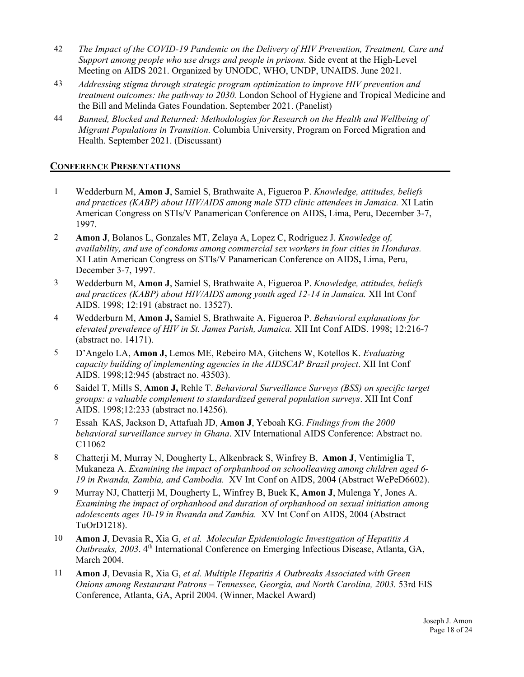- 42 *The Impact of the COVID-19 Pandemic on the Delivery of HIV Prevention, Treatment, Care and Support among people who use drugs and people in prisons.* Side event at the High-Level Meeting on AIDS 2021. Organized by UNODC, WHO, UNDP, UNAIDS. June 2021.
- 43 *Addressing stigma through strategic program optimization to improve HIV prevention and treatment outcomes: the pathway to 2030.* London School of Hygiene and Tropical Medicine and the Bill and Melinda Gates Foundation. September 2021. (Panelist)
- 44 *Banned, Blocked and Returned: Methodologies for Research on the Health and Wellbeing of Migrant Populations in Transition.* Columbia University, Program on Forced Migration and Health. September 2021. (Discussant)

#### **CONFERENCE PRESENTATIONS**

- 1 Wedderburn M, **Amon J**, Samiel S, Brathwaite A, Figueroa P. *Knowledge, attitudes, beliefs and practices (KABP) about HIV/AIDS among male STD clinic attendees in Jamaica.* XI Latin American Congress on STIs/V Panamerican Conference on AIDS**,** Lima, Peru, December 3-7, 1997.
- 2 **Amon J**, Bolanos L, Gonzales MT, Zelaya A, Lopez C, Rodriguez J. *Knowledge of, availability, and use of condoms among commercial sex workers in four cities in Honduras.*  XI Latin American Congress on STIs/V Panamerican Conference on AIDS**,** Lima, Peru, December 3-7, 1997.
- 3 Wedderburn M, **Amon J**, Samiel S, Brathwaite A, Figueroa P. *Knowledge, attitudes, beliefs and practices (KABP) about HIV/AIDS among youth aged 12-14 in Jamaica.* XII Int Conf AIDS. 1998; 12:191 (abstract no. 13527).
- 4 Wedderburn M, **Amon J,** Samiel S, Brathwaite A, Figueroa P. *Behavioral explanations for elevated prevalence of HIV in St. James Parish, Jamaica.* XII Int Conf AIDS. 1998; 12:216-7 (abstract no. 14171).
- 5 D'Angelo LA, **Amon J,** Lemos ME, Rebeiro MA, Gitchens W, Kotellos K. *Evaluating capacity building of implementing agencies in the AIDSCAP Brazil project*. XII Int Conf AIDS. 1998;12:945 (abstract no. 43503).
- 6 Saidel T, Mills S, **Amon J,** Rehle T. *Behavioral Surveillance Surveys (BSS) on specific target groups: a valuable complement to standardized general population surveys*. XII Int Conf AIDS. 1998;12:233 (abstract no.14256).
- 7 Essah KAS, Jackson D, Attafuah JD, **Amon J**, Yeboah KG. *Findings from the 2000 behavioral surveillance survey in Ghana*. XIV International AIDS Conference: Abstract no. C11062
- 8 Chatterji M, Murray N, Dougherty L, Alkenbrack S, Winfrey B, **Amon J**, Ventimiglia T, Mukaneza A. *Examining the impact of orphanhood on schoolleaving among children aged 6- 19 in Rwanda, Zambia, and Cambodia.* XV Int Conf on AIDS, 2004 (Abstract WePeD6602).
- 9 Murray NJ, Chatterji M, Dougherty L, Winfrey B, Buek K, **Amon J**, Mulenga Y, Jones A. *Examining the impact of orphanhood and duration of orphanhood on sexual initiation among adolescents ages 10-19 in Rwanda and Zambia.* XV Int Conf on AIDS, 2004 (Abstract TuOrD1218).
- 10 **Amon J**, Devasia R, Xia G, *et al. Molecular Epidemiologic Investigation of Hepatitis A Outbreaks, 2003.* 4<sup>th</sup> International Conference on Emerging Infectious Disease, Atlanta, GA, March 2004.
- 11 **Amon J**, Devasia R, Xia G, *et al. Multiple Hepatitis A Outbreaks Associated with Green Onions among Restaurant Patrons – Tennessee, Georgia, and North Carolina, 2003.* 53rd EIS Conference, Atlanta, GA, April 2004. (Winner, Mackel Award)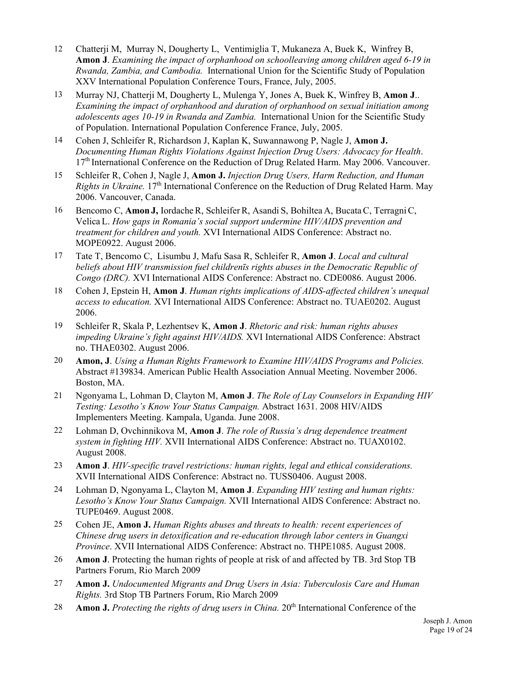- 12 Chatterji M, Murray N, Dougherty L, Ventimiglia T, Mukaneza A, Buek K, Winfrey B, **Amon J**. *Examining the impact of orphanhood on schoolleaving among children aged 6-19 in Rwanda, Zambia, and Cambodia.* International Union for the Scientific Study of Population XXV International Population Conference Tours, France, July, 2005.
- 13 Murray NJ, Chatterji M, Dougherty L, Mulenga Y, Jones A, Buek K, Winfrey B, **Amon J**.. *Examining the impact of orphanhood and duration of orphanhood on sexual initiation among adolescents ages 10-19 in Rwanda and Zambia.* International Union for the Scientific Study of Population. International Population Conference France, July, 2005.
- 14 Cohen J, Schleifer R, Richardson J, Kaplan K, Suwannawong P, Nagle J, **Amon J.** *Documenting Human Rights Violations Against Injection Drug Users: Advocacy for Health*. 17<sup>th</sup> International Conference on the Reduction of Drug Related Harm. May 2006. Vancouver.
- 15 Schleifer R, Cohen J, Nagle J, **Amon J.** *Injection Drug Users, Harm Reduction, and Human Rights in Ukraine.* 17<sup>th</sup> International Conference on the Reduction of Drug Related Harm. May 2006. Vancouver, Canada.
- 16 Bencomo C, **Amon J,** IordacheR, SchleiferR, Asandi S, Bohiltea A, BucataC, TerragniC, Velica L. *How gaps in Romania's social support undermine HIV/AIDS prevention and treatment for children and youth.* XVI International AIDS Conference: Abstract no. MOPE0922. August 2006.
- 17 Tate T, Bencomo C, Lisumbu J, Mafu Sasa R, Schleifer R, **Amon J**. *Local and cultural beliefs about HIV transmission fuel childrenīs rights abuses in the Democratic Republic of Congo (DRC).* XVI International AIDS Conference: Abstract no. CDE0086. August 2006.
- 18 Cohen J, Epstein H, **Amon J**. *Human rights implications of AIDS-affected children's unequal access to education.* XVI International AIDS Conference: Abstract no. TUAE0202. August 2006.
- 19 Schleifer R, Skala P, Lezhentsev K, **Amon J**. *Rhetoric and risk: human rights abuses impeding Ukraine's fight against HIV/AIDS.* XVI International AIDS Conference: Abstract no. THAE0302. August 2006.
- 20 **Amon, J**. *Using a Human Rights Framework to Examine HIV/AIDS Programs and Policies.* Abstract #139834. American Public Health Association Annual Meeting. November 2006. Boston, MA.
- 21 Ngonyama L, Lohman D, Clayton M, **Amon J**. *The Role of Lay Counselors in Expanding HIV Testing: Lesotho's Know Your Status Campaign.* Abstract 1631. 2008 HIV/AIDS Implementers Meeting. Kampala, Uganda. June 2008.
- 22 Lohman D, Ovchinnikova M, **Amon J**. *The role of Russia's drug dependence treatment system in fighting HIV.* XVII International AIDS Conference: Abstract no. TUAX0102. August 2008.
- 23 **Amon J**. *HIV-specific travel restrictions: human rights, legal and ethical considerations.* XVII International AIDS Conference: Abstract no. TUSS0406. August 2008.
- 24 Lohman D, Ngonyama L, Clayton M, **Amon J**. *Expanding HIV testing and human rights: Lesotho's Know Your Status Campaign.* XVII International AIDS Conference: Abstract no. TUPE0469. August 2008.
- 25 Cohen JE, **Amon J.** *Human Rights abuses and threats to health: recent experiences of Chinese drug users in detoxification and re-education through labor centers in Guangxi Province*. XVII International AIDS Conference: Abstract no. THPE1085. August 2008.
- 26 **Amon J**. Protecting the human rights of people at risk of and affected by TB. 3rd Stop TB Partners Forum, Rio March 2009
- 27 **Amon J.** *Undocumented Migrants and Drug Users in Asia: Tuberculosis Care and Human Rights.* 3rd Stop TB Partners Forum, Rio March 2009
- 28 **Amon J.** *Protecting the rights of drug users in China.* 20<sup>th</sup> International Conference of the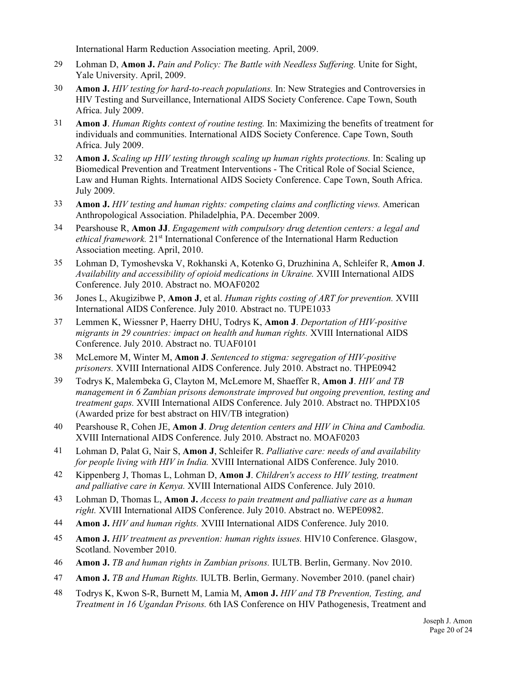International Harm Reduction Association meeting. April, 2009.

- 29 Lohman D, **Amon J.** *Pain and Policy: The Battle with Needless Suffering.* Unite for Sight, Yale University. April, 2009.
- 30 **Amon J.** *HIV testing for hard-to-reach populations.* In: New Strategies and Controversies in HIV Testing and Surveillance, International AIDS Society Conference. Cape Town, South Africa. July 2009.
- 31 **Amon J**. *Human Rights context of routine testing.* In: Maximizing the benefits of treatment for individuals and communities. International AIDS Society Conference. Cape Town, South Africa. July 2009.
- 32 **Amon J.** *Scaling up HIV testing through scaling up human rights protections.* In: Scaling up Biomedical Prevention and Treatment Interventions - The Critical Role of Social Science, Law and Human Rights. International AIDS Society Conference. Cape Town, South Africa. July 2009.
- 33 **Amon J.** *HIV testing and human rights: competing claims and conflicting views.* American Anthropological Association. Philadelphia, PA. December 2009.
- 34 Pearshouse R, **Amon JJ**. *Engagement with compulsory drug detention centers: a legal and*  ethical framework. 21<sup>st</sup> International Conference of the International Harm Reduction Association meeting. April, 2010.
- 35 Lohman D, Tymoshevska V, Rokhanski A, Kotenko G, Druzhinina A, Schleifer R, **Amon J**. *Availability and accessibility of opioid medications in Ukraine.* XVIII International AIDS Conference. July 2010. Abstract no. MOAF0202
- 36 Jones L, Akugizibwe P, **Amon J**, et al. *Human rights costing of ART for prevention.* XVIII International AIDS Conference. July 2010. Abstract no. TUPE1033
- 37 Lemmen K, Wiessner P, Haerry DHU, Todrys K, **Amon J**. *Deportation of HIV-positive migrants in 29 countries: impact on health and human rights.* XVIII International AIDS Conference. July 2010. Abstract no. TUAF0101
- 38 McLemore M, Winter M, **Amon J**. *Sentenced to stigma: segregation of HIV-positive prisoners.* XVIII International AIDS Conference. July 2010. Abstract no. THPE0942
- 39 Todrys K, Malembeka G, Clayton M, McLemore M, Shaeffer R, **Amon J**. *HIV and TB management in 6 Zambian prisons demonstrate improved but ongoing prevention, testing and treatment gaps.* XVIII International AIDS Conference. July 2010. Abstract no. THPDX105 (Awarded prize for best abstract on HIV/TB integration)
- 40 Pearshouse R, Cohen JE, **Amon J**. *Drug detention centers and HIV in China and Cambodia.* XVIII International AIDS Conference. July 2010. Abstract no. MOAF0203
- 41 Lohman D, Palat G, Nair S, **Amon J**, Schleifer R. *Palliative care: needs of and availability for people living with HIV in India.* XVIII International AIDS Conference. July 2010.
- 42 Kippenberg J, Thomas L, Lohman D, **Amon J**. *Children's access to HIV testing, treatment and palliative care in Kenya.* XVIII International AIDS Conference. July 2010.
- 43 Lohman D, Thomas L, **Amon J.** *Access to pain treatment and palliative care as a human right.* XVIII International AIDS Conference. July 2010. Abstract no. WEPE0982.
- 44 **Amon J.** *HIV and human rights.* XVIII International AIDS Conference. July 2010.
- 45 **Amon J.** *HIV treatment as prevention: human rights issues.* HIV10 Conference. Glasgow, Scotland. November 2010.
- 46 **Amon J.** *TB and human rights in Zambian prisons.* IULTB. Berlin, Germany. Nov 2010.
- 47 **Amon J.** *TB and Human Rights.* IULTB. Berlin, Germany. November 2010. (panel chair)
- 48 Todrys K, Kwon S-R, Burnett M, Lamia M, **Amon J.** *HIV and TB Prevention, Testing, and Treatment in 16 Ugandan Prisons.* 6th IAS Conference on HIV Pathogenesis, Treatment and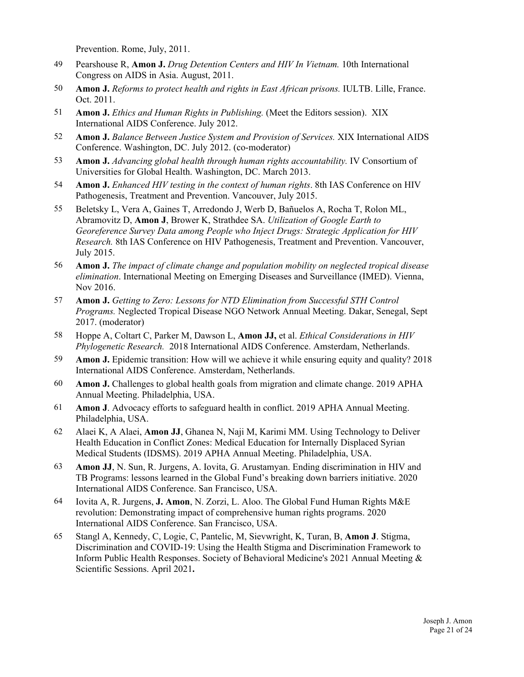Prevention. Rome, July, 2011.

- 49 Pearshouse R, **Amon J.** *Drug Detention Centers and HIV In Vietnam.* 10th International Congress on AIDS in Asia. August, 2011.
- 50 **Amon J.** *Reforms to protect health and rights in East African prisons.* IULTB. Lille, France. Oct. 2011.
- 51 **Amon J.** *Ethics and Human Rights in Publishing.* (Meet the Editors session). XIX International AIDS Conference. July 2012.
- 52 **Amon J.** *Balance Between Justice System and Provision of Services.* XIX International AIDS Conference. Washington, DC. July 2012. (co-moderator)
- 53 **Amon J.** *Advancing global health through human rights accountability.* IV Consortium of Universities for Global Health. Washington, DC. March 2013.
- 54 **Amon J.** *Enhanced HIV testing in the context of human rights*. 8th IAS Conference on HIV Pathogenesis, Treatment and Prevention. Vancouver, July 2015.
- 55 Beletsky L, Vera A, Gaines T, Arredondo J, Werb D, Bañuelos A, Rocha T, Rolon ML, Abramovitz D, **Amon J**, Brower K, Strathdee SA. *Utilization of Google Earth to Georeference Survey Data among People who Inject Drugs: Strategic Application for HIV Research.* 8th IAS Conference on HIV Pathogenesis, Treatment and Prevention. Vancouver, July 2015.
- 56 **Amon J.** *The impact of climate change and population mobility on neglected tropical disease elimination*. International Meeting on Emerging Diseases and Surveillance (IMED). Vienna, Nov 2016.
- 57 **Amon J.** *Getting to Zero: Lessons for NTD Elimination from Successful STH Control Programs.* Neglected Tropical Disease NGO Network Annual Meeting. Dakar, Senegal, Sept 2017. (moderator)
- 58 Hoppe A, Coltart C, Parker M, Dawson L, **Amon JJ,** et al. *Ethical Considerations in HIV Phylogenetic Research.* 2018 International AIDS Conference. Amsterdam, Netherlands.
- 59 **Amon J.** Epidemic transition: How will we achieve it while ensuring equity and quality? 2018 International AIDS Conference. Amsterdam, Netherlands.
- 60 **Amon J.** Challenges to global health goals from migration and climate change. 2019 APHA Annual Meeting. Philadelphia, USA.
- 61 **Amon J**. Advocacy efforts to safeguard health in conflict. 2019 APHA Annual Meeting. Philadelphia, USA.
- 62 Alaei K, A Alaei, **Amon JJ**, Ghanea N, Naji M, Karimi MM. Using Technology to Deliver Health Education in Conflict Zones: Medical Education for Internally Displaced Syrian Medical Students (IDSMS). 2019 APHA Annual Meeting. Philadelphia, USA.
- 63 **Amon JJ**, N. Sun, R. Jurgens, A. Iovita, G. Arustamyan. Ending discrimination in HIV and TB Programs: lessons learned in the Global Fund's breaking down barriers initiative. 2020 International AIDS Conference. San Francisco, USA.
- 64 Iovita A, R. Jurgens, **J. Amon**, N. Zorzi, L. Aloo. The Global Fund Human Rights M&E revolution: Demonstrating impact of comprehensive human rights programs. 2020 International AIDS Conference. San Francisco, USA.
- 65 Stangl A, Kennedy, C, Logie, C, Pantelic, M, Sievwright, K, Turan, B, **Amon J**. Stigma, Discrimination and COVID-19: Using the Health Stigma and Discrimination Framework to Inform Public Health Responses. Society of Behavioral Medicine's 2021 Annual Meeting & Scientific Sessions. April 2021**.**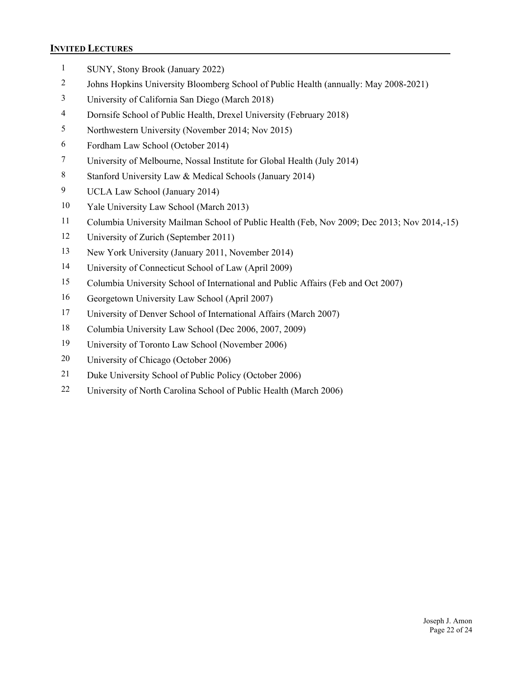#### **INVITED LECTURES**

- 1 SUNY, Stony Brook (January 2022)
- 2 Johns Hopkins University Bloomberg School of Public Health (annually: May 2008-2021)
- 3 University of California San Diego (March 2018)
- 4 Dornsife School of Public Health, Drexel University (February 2018)
- 5 Northwestern University (November 2014; Nov 2015)
- 6 Fordham Law School (October 2014)
- 7 University of Melbourne, Nossal Institute for Global Health (July 2014)
- 8 Stanford University Law & Medical Schools (January 2014)
- 9 UCLA Law School (January 2014)
- 10 Yale University Law School (March 2013)
- 11 Columbia University Mailman School of Public Health (Feb, Nov 2009; Dec 2013; Nov 2014,-15)
- 12 University of Zurich (September 2011)
- 13 New York University (January 2011, November 2014)
- 14 University of Connecticut School of Law (April 2009)
- 15 Columbia University School of International and Public Affairs (Feb and Oct 2007)
- 16 Georgetown University Law School (April 2007)
- 17 University of Denver School of International Affairs (March 2007)
- 18 Columbia University Law School (Dec 2006, 2007, 2009)
- 19 University of Toronto Law School (November 2006)
- 20 University of Chicago (October 2006)
- 21 Duke University School of Public Policy (October 2006)
- 22 University of North Carolina School of Public Health (March 2006)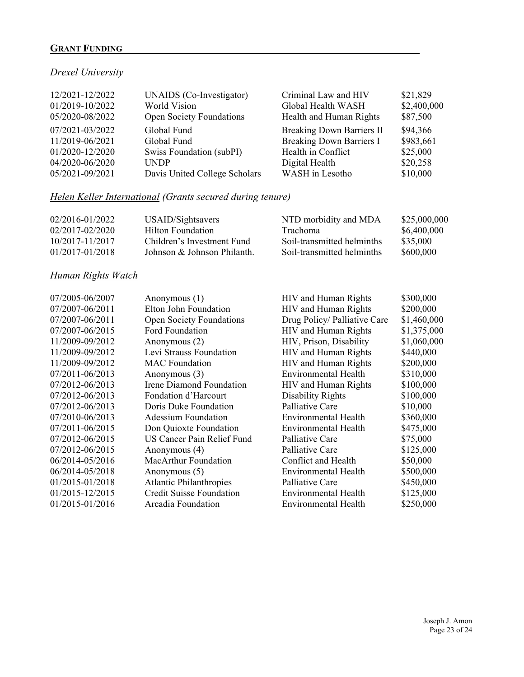# **GRANT FUNDING**

# *Drexel University*

| 12/2021-12/2022<br>01/2019-10/2022<br>05/2020-08/2022 | UNAIDS (Co-Investigator)<br>World Vision<br>Open Society Foundations | Criminal Law and HIV<br>Global Health WASH<br>Health and Human Rights | \$21,829<br>\$2,400,000<br>\$87,500 |
|-------------------------------------------------------|----------------------------------------------------------------------|-----------------------------------------------------------------------|-------------------------------------|
| 07/2021-03/2022                                       | Global Fund                                                          | <b>Breaking Down Barriers II</b>                                      | \$94,366                            |
| 11/2019-06/2021                                       | Global Fund                                                          | <b>Breaking Down Barriers I</b>                                       | \$983,661                           |
| 01/2020-12/2020                                       | Swiss Foundation (subPI)                                             | Health in Conflict                                                    | \$25,000                            |
| 04/2020-06/2020                                       | <b>UNDP</b>                                                          | Digital Health                                                        | \$20,258                            |
| 05/2021-09/2021                                       | Davis United College Scholars                                        | WASH in Lesotho                                                       | \$10,000                            |

# *Helen Keller International (Grants secured during tenure)*

| 02/2016-01/2022 | USAID/Sightsavers           | NTD morbidity and MDA      | \$25,000,000 |
|-----------------|-----------------------------|----------------------------|--------------|
| 02/2017-02/2020 | Hilton Foundation           | Trachoma                   | \$6,400,000  |
| 10/2017-11/2017 | Children's Investment Fund  | Soil-transmitted helminths | \$35,000     |
| 01/2017-01/2018 | Johnson & Johnson Philanth. | Soil-transmitted helminths | \$600,000    |

# *Human Rights Watch*

| 07/2005-06/2007 | Anonymous $(1)$                 | <b>HIV</b> and Human Rights  | \$300,000   |
|-----------------|---------------------------------|------------------------------|-------------|
| 07/2007-06/2011 | Elton John Foundation           | HIV and Human Rights         | \$200,000   |
| 07/2007-06/2011 | <b>Open Society Foundations</b> | Drug Policy/ Palliative Care | \$1,460,000 |
| 07/2007-06/2015 | Ford Foundation                 | HIV and Human Rights         | \$1,375,000 |
| 11/2009-09/2012 | Anonymous $(2)$                 | HIV, Prison, Disability      | \$1,060,000 |
| 11/2009-09/2012 | Levi Strauss Foundation         | HIV and Human Rights         | \$440,000   |
| 11/2009-09/2012 | <b>MAC</b> Foundation           | HIV and Human Rights         | \$200,000   |
| 07/2011-06/2013 | Anonymous $(3)$                 | <b>Environmental Health</b>  | \$310,000   |
| 07/2012-06/2013 | Irene Diamond Foundation        | <b>HIV</b> and Human Rights  | \$100,000   |
| 07/2012-06/2013 | Fondation d'Harcourt            | Disability Rights            | \$100,000   |
| 07/2012-06/2013 | Doris Duke Foundation           | Palliative Care              | \$10,000    |
| 07/2010-06/2013 | Adessium Foundation             | Environmental Health         | \$360,000   |
| 07/2011-06/2015 | Don Quioxte Foundation          | <b>Environmental Health</b>  | \$475,000   |
| 07/2012-06/2015 | US Cancer Pain Relief Fund      | Palliative Care              | \$75,000    |
| 07/2012-06/2015 | Anonymous (4)                   | Palliative Care              | \$125,000   |
| 06/2014-05/2016 | MacArthur Foundation            | Conflict and Health          | \$50,000    |
| 06/2014-05/2018 | Anonymous (5)                   | Environmental Health         | \$500,000   |
| 01/2015-01/2018 | <b>Atlantic Philanthropies</b>  | Palliative Care              | \$450,000   |
| 01/2015-12/2015 | <b>Credit Suisse Foundation</b> | Environmental Health         | \$125,000   |
| 01/2015-01/2016 | Arcadia Foundation              | Environmental Health         | \$250,000   |
|                 |                                 |                              |             |